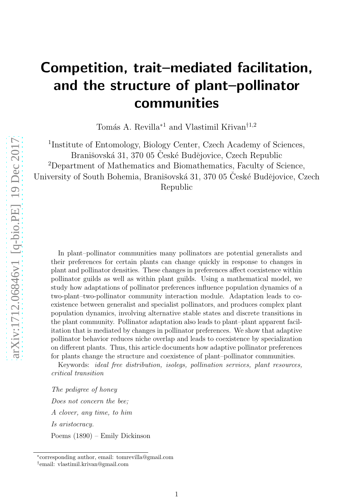# Competition, trait–mediated facilitation, and the structure of plant–pollinator communities

Tomás A. Revilla<sup>∗1</sup> and Vlastimil Křivan<sup>†1,2</sup>

<sup>1</sup>Institute of Entomology, Biology Center, Czech Academy of Sciences, Branišovská 31, 370 05 České Budějovice, Czech Republic <sup>2</sup>Department of Mathematics and Biomathematics, Faculty of Science, University of South Bohemia, Branišovská 31, 370 05 Ceské Budějovice, Czech Republic

In plant–pollinator communities many pollinators are potential generalists and their preferences for certain plants can change quickly in response to changes in plant and pollinator densities. These changes in preferences affect coexistence within pollinator guilds as well as within plant guilds. Using a mathematical model, we study how adaptations of pollinator preferences influence population dynamics of a two-plant–two-pollinator community interaction module. Adaptation leads to coexistence between generalist and specialist pollinators, and produces complex plant population dynamics, involving alternative stable states and discrete transitions in the plant community. Pollinator adaptation also leads to plant–plant apparent facilitation that is mediated by changes in pollinator preferences. We show that adaptive pollinator behavior reduces niche overlap and leads to coexistence by specialization on different plants. Thus, this article documents how adaptive pollinator preferences for plants change the structure and coexistence of plant–pollinator communities.

Keywords: *ideal free distribution, isolegs, pollination services, plant resources, critical transition*

*The pedigree of honey Does not concern the bee; A clover, any time, to him Is aristocracy.* Poems (1890) – Emily Dickinson

<sup>∗</sup> corresponding author, email: tomrevilla@gmail.com † email: vlastimil.krivan@gmail.com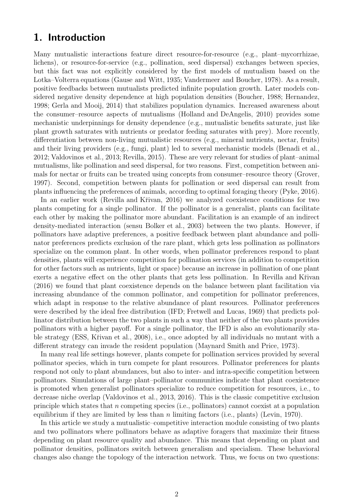## 1. Introduction

Many mutualistic interactions feature direct resource-for-resource (e.g., plant–mycorrhizae, lichens), or resource-for-service (e.g., pollination, seed dispersal) exchanges between species, but this fact was not explicitly considered by the first models of mutualism based on the Lotka–Volterra equations [\(Gause and Witt](#page-22-0), [1935;](#page-22-0) [Vandermeer and Boucher](#page-23-0), [1978](#page-23-0)). As a result, positive feedbacks between mutualists predicted infinite population growth. Later models considered negative density dependence at high population densities [\(Boucher](#page-21-0), [1988;](#page-21-0) [Hernandez](#page-22-1), [1998](#page-22-1); [Gerla and Mooij, 2014\)](#page-22-2) that stabilizes population dynamics. Increased awareness about the consumer–resource aspects of mutualisms [\(Holland and DeAngelis](#page-22-3), [2010\)](#page-22-3) provides some mechanistic underpinnings for density dependence (e.g., mutualistic benefits saturate, just like plant growth saturates with nutrients or predator feeding saturates with prey). More recently, differentiation between non-living mutualistic resources (e.g., mineral nutrients, nectar, fruits) and their living providers (e.g., fungi, plant) led to several mechanistic models [\(Benadi et al.](#page-21-1), [2012](#page-21-1); [Valdovinos et al.](#page-23-1), [2013](#page-23-1); [Revilla, 2015\)](#page-23-2). These are very relevant for studies of plant–animal mutualisms, like pollination and seed dispersal, for two reasons. First, competition between animals for nectar or fruits can be treated using concepts from consumer–resource theory [\(Grover](#page-22-4), [1997](#page-22-4)). Second, competition between plants for pollination or seed dispersal can result from plants influencing the preferences of animals, according to optimal foraging theory [\(Pyke](#page-23-3), [2016\)](#page-23-3).

In an earlier work (Revilla and Křivan, 2016) we analyzed coexistence conditions for two plants competing for a single pollinator. If the pollinator is a generalist, plants can facilitate each other by making the pollinator more abundant. Facilitation is an example of an indirect density-mediated interaction (sensu [Bolker et al., 2003](#page-21-2)) between the two plants. However, if pollinators have adaptive preferences, a positive feedback between plant abundance and pollinator preferences predicts exclusion of the rare plant, which gets less pollination as pollinators specialize on the common plant. In other words, when pollinator preferences respond to plant densities, plants will experience competition for pollination services (in addition to competition for other factors such as nutrients, light or space) because an increase in pollination of one plant exerts a negative effect on the other plants that gets less pollination. In Revilla and Křivan [\(2016\)](#page-23-4) we found that plant coexistence depends on the balance between plant facilitation via increasing abundance of the common pollinator, and competition for pollinator preferences, which adapt in response to the relative abundance of plant resources. Pollinator preferences were described by the ideal free distribution (IFD; [Fretwell and Lucas, 1969\)](#page-21-3) that predicts pollinator distribution between the two plants in such a way that neither of the two plants provides pollinators with a higher payoff. For a single pollinator, the IFD is also an evolutionarily stable strategy (ESS, Křivan et al., 2008), i.e., once adopted by all individuals no mutant with a different strategy can invade the resident population [\(Maynard Smith and Price, 1973](#page-22-6)).

In many real life settings however, plants compete for pollination services provided by several pollinator species, which in turn compete for plant resources. Pollinator preferences for plants respond not only to plant abundances, but also to inter- and intra-specific competition between pollinators. Simulations of large plant–pollinator communities indicate that plant coexistence is promoted when generalist pollinators specialize to reduce competition for resources, i.e., to decrease niche overlap [\(Valdovinos et al., 2013,](#page-23-1) [2016\)](#page-23-5). This is the classic competitive exclusion principle which states that  $n$  competing species (i.e., pollinators) cannot coexist at a population equilibrium if they are limited by less than n limiting factors (i.e., plants) [\(Levin, 1970\)](#page-22-7).

In this article we study a mutualistic–competitive interaction module consisting of two plants and two pollinators where pollinators behave as adaptive foragers that maximize their fitness depending on plant resource quality and abundance. This means that depending on plant and pollinator densities, pollinators switch between generalism and specialism. These behavioral changes also change the topology of the interaction network. Thus, we focus on two questions: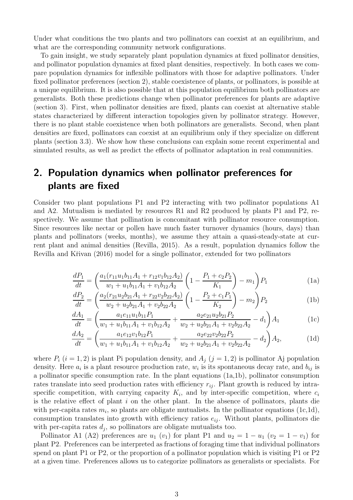Under what conditions the two plants and two pollinators can coexist at an equilibrium, and what are the corresponding community network configurations.

To gain insight, we study separately plant population dynamics at fixed pollinator densities, and pollinator population dynamics at fixed plant densities, respectively. In both cases we compare population dynamics for inflexible pollinators with those for adaptive pollinators. Under fixed pollinator preferences (section [2\)](#page-2-0), stable coexistence of plants, or pollinators, is possible at a unique equilibrium. It is also possible that at this population equilibrium both pollinators are generalists. Both these predictions change when pollinator preferences for plants are adaptive (section [3\)](#page-5-0). First, when pollinator densities are fixed, plants can coexist at alternative stable states characterized by different interaction topologies given by pollinator strategy. However, there is no plant stable coexistence when both pollinators are generalists. Second, when plant densities are fixed, pollinators can coexist at an equilibrium only if they specialize on different plants (section [3.3\)](#page-15-0). We show how these conclusions can explain some recent experimental and simulated results, as well as predict the effects of pollinator adaptation in real communities.

# <span id="page-2-0"></span>2. Population dynamics when pollinator preferences for plants are fixed

Consider two plant populations P1 and P2 interacting with two pollinator populations A1 and A2. Mutualism is mediated by resources R1 and R2 produced by plants P1 and P2, respectively. We assume that pollination is concomitant with pollinator resource consumption. Since resources like nectar or pollen have much faster turnover dynamics (hours, days) than plants and pollinators (weeks, months), we assume they attain a quasi-steady-state at current plant and animal densities [\(Revilla, 2015](#page-23-2)). As a result, population dynamics follow the Revilla and Křivan (2016) model for a single pollinator, extended for two pollinators

<span id="page-2-5"></span><span id="page-2-1"></span>
$$
\frac{dP_1}{dt} = \left(\frac{a_1(r_{11}u_1b_{11}A_1 + r_{12}v_1b_{12}A_2)}{w_1 + u_1b_{11}A_1 + v_1b_{12}A_2}\left(1 - \frac{P_1 + c_2P_2}{K_1}\right) - m_1\right)P_1\tag{1a}
$$

$$
\frac{dP_2}{dt} = \left(\frac{a_2(r_{21}u_2b_{21}A_1 + r_{22}v_2b_{22}A_2)}{w_2 + u_2b_{21}A_1 + v_2b_{22}A_2}\left(1 - \frac{P_2 + c_1P_1}{K_2}\right) - m_2\right)P_2\tag{1b}
$$

<span id="page-2-3"></span><span id="page-2-2"></span>
$$
\frac{dA_1}{dt} = \left(\frac{a_1e_{11}u_1b_{11}P_1}{w_1 + u_1b_{11}A_1 + v_1b_{12}A_2} + \frac{a_2e_{21}u_2b_{21}P_2}{w_2 + u_2b_{21}A_1 + v_2b_{22}A_2} - d_1\right)A_1\tag{1c}
$$

<span id="page-2-4"></span>
$$
\frac{dA_2}{dt} = \left(\frac{a_1e_{12}v_1b_{12}P_1}{w_1 + u_1b_{11}A_1 + v_1b_{12}A_2} + \frac{a_2e_{22}v_2b_{22}P_2}{w_2 + u_2b_{21}A_1 + v_2b_{22}A_2} - d_2\right)A_2,\tag{1d}
$$

where  $P_i$   $(i = 1, 2)$  is plant Pi population density, and  $A_i$   $(j = 1, 2)$  is pollinator Aj population density. Here  $a_i$  is a plant resource production rate,  $w_i$  is its spontaneous decay rate, and  $b_{ij}$  is a pollinator specific consumption rate. In the plant equations [\(1a](#page-2-1)[,1b\)](#page-2-2), pollinator consumption rates translate into seed production rates with efficiency  $r_{ij}$ . Plant growth is reduced by intraspecific competition, with carrying capacity  $K_i$ , and by inter-specific competition, where  $c_i$ is the relative effect of plant  $i$  on the other plant. In the absence of pollinators, plants die with per-capita rates  $m_i$ , so plants are obligate mutualists. In the pollinator equations [\(1c](#page-2-3)[,1d\)](#page-2-4), consumption translates into growth with efficiency ratios  $e_{ij}$ . Without plants, pollinators die with per-capita rates  $d_j$ , so pollinators are obligate mutualists too.

Pollinator A1 (A2) preferences are  $u_1$  ( $v_1$ ) for plant P1 and  $u_2 = 1 - u_1$  ( $v_2 = 1 - v_1$ ) for plant P2. Preferences can be interpreted as fractions of foraging time that individual pollinators spend on plant P1 or P2, or the proportion of a pollinator population which is visiting P1 or P2 at a given time. Preferences allows us to categorize pollinators as generalists or specialists. For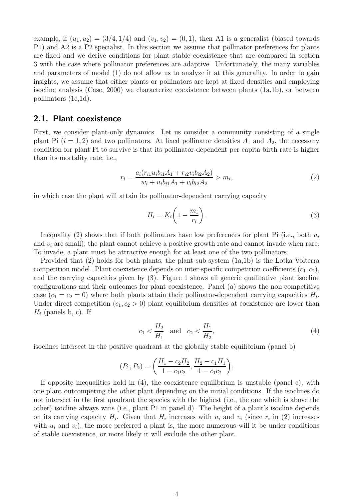example, if  $(u_1, u_2) = (3/4, 1/4)$  and  $(v_1, v_2) = (0, 1)$ , then A1 is a generalist (biased towards P1) and A2 is a P2 specialist. In this section we assume that pollinator preferences for plants are fixed and we derive conditions for plant stable coexistence that are compared in section [3](#page-5-0) with the case where pollinator preferences are adaptive. Unfortunately, the many variables and parameters of model [\(1\)](#page-2-5) do not allow us to analyze it at this generality. In order to gain insights, we assume that either plants or pollinators are kept at fixed densities and employing isocline analysis [\(Case, 2000](#page-21-4)) we characterize coexistence between plants [\(1a,](#page-2-1)[1b\)](#page-2-2), or between pollinators [\(1c,](#page-2-3)[1d\)](#page-2-4).

#### <span id="page-3-3"></span>2.1. Plant coexistence

First, we consider plant-only dynamics. Let us consider a community consisting of a single plant Pi  $(i = 1, 2)$  and two pollinators. At fixed pollinator densities  $A_1$  and  $A_2$ , the necessary condition for plant Pi to survive is that its pollinator-dependent per-capita birth rate is higher than its mortality rate, i.e.,

<span id="page-3-0"></span>
$$
r_i = \frac{a_i(r_{i1}u_i b_{i1}A_1 + r_{i2}v_i b_{i2}A_2)}{w_i + u_i b_{i1}A_1 + v_i b_{i2}A_2} > m_i,
$$
\n(2)

in which case the plant will attain its pollinator-dependent carrying capacity

<span id="page-3-1"></span>
$$
H_i = K_i \left( 1 - \frac{m_i}{r_i} \right). \tag{3}
$$

Inequality [\(2\)](#page-3-0) shows that if both pollinators have low preferences for plant Pi (i.e., both  $u_i$ and  $v_i$  are small), the plant cannot achieve a positive growth rate and cannot invade when rare. To invade, a plant must be attractive enough for at least one of the two pollinators.

Provided that [\(2\)](#page-3-0) holds for both plants, the plant sub-system [\(1a](#page-2-1)[,1b\)](#page-2-2) is the Lotka-Volterra competition model. Plant coexistence depends on inter-specific competition coefficients  $(c_1, c_2)$ , and the carrying capacities given by [\(3\)](#page-3-1). Figure [1](#page-31-0) shows all generic qualitative plant isocline configurations and their outcomes for plant coexistence. Panel (a) shows the non-competitive case  $(c_1 = c_2 = 0)$  where both plants attain their pollinator-dependent carrying capacities  $H_i$ . Under direct competition  $(c_1, c_2 > 0)$  plant equilibrium densities at coexistence are lower than  $H_i$  (panels b, c). If

<span id="page-3-2"></span>
$$
c_1 < \frac{H_2}{H_1}
$$
 and  $c_2 < \frac{H_1}{H_2}$ , (4)

isoclines intersect in the positive quadrant at the globally stable equilibrium (panel b)

$$
(P_1, P_2) = \left(\frac{H_1 - c_2 H_2}{1 - c_1 c_2}, \frac{H_2 - c_1 H_1}{1 - c_1 c_2}\right).
$$

If opposite inequalities hold in  $(4)$ , the coexistence equilibrium is unstable (panel c), with one plant outcompeting the other plant depending on the initial conditions. If the isoclines do not intersect in the first quadrant the species with the highest (i.e., the one which is above the other) isocline always wins (i.e., plant P1 in panel d). The height of a plant's isocline depends on its carrying capacity  $H_i$ . Given that  $H_i$  increases with  $u_i$  and  $v_i$  (since  $r_i$  in [\(2\)](#page-3-0) increases with  $u_i$  and  $v_i$ ), the more preferred a plant is, the more numerous will it be under conditions of stable coexistence, or more likely it will exclude the other plant.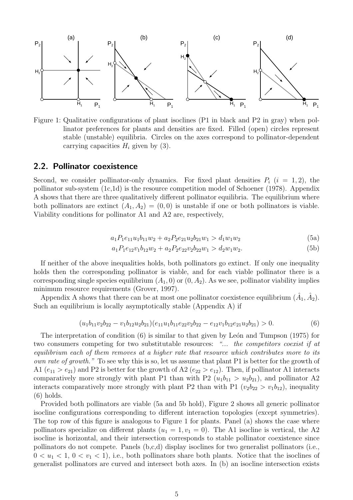

Figure 1: Qualitative configurations of plant isoclines (P1 in black and P2 in gray) when pollinator preferences for plants and densities are fixed. Filled (open) circles represent stable (unstable) equilibria. Circles on the axes correspond to pollinator-dependent carrying capacities  $H_i$  given by [\(3\)](#page-3-1).

#### 2.2. Pollinator coexistence

Second, we consider pollinator-only dynamics. For fixed plant densities  $P_i$   $(i = 1, 2)$ , the pollinator sub-system [\(1c](#page-2-3)[,1d\)](#page-2-4) is the resource competition model of [Schoener \(1978\)](#page-23-6). Appendix [A](#page-24-0) shows that there are three qualitatively different pollinator equilibria. The equilibrium where both pollinators are extinct  $(A_1, A_2) = (0, 0)$  is unstable if one or both pollinators is viable. Viability conditions for pollinator A1 and A2 are, respectively,

<span id="page-4-1"></span>
$$
a_1 P_1 e_{11} u_1 b_{11} w_2 + a_2 P_2 e_{21} u_2 b_{21} w_1 > d_1 w_1 w_2 \tag{5a}
$$

<span id="page-4-2"></span>
$$
a_1 P_1 e_{12} v_1 b_{12} w_2 + a_2 P_2 e_{22} v_2 b_{22} w_1 > d_2 w_1 w_2.
$$
\n
$$
(5b)
$$

If neither of the above inequalities holds, both pollinators go extinct. If only one inequality holds then the corresponding pollinator is viable, and for each viable pollinator there is a corresponding single species equilibrium  $(A_1, 0)$  or  $(0, A_2)$ . As we see, pollinator viability implies minimum resource requirements [\(Grover, 1997](#page-22-4)).

Appendix [A](#page-24-0) shows that there can be at most one pollinator coexistence equilibrium  $(\hat{A}_1, \hat{A}_2)$ . Such an equilibrium is locally asymptotically stable (Appendix [A\)](#page-24-0) if

<span id="page-4-0"></span>
$$
(u_1b_{11}v_2b_{22} - v_1b_{12}u_2b_{21})(e_{11}u_1b_{11}e_{22}v_2b_{22} - e_{12}v_1b_{12}e_{21}u_2b_{21}) > 0.
$$
\n(6)

The interpretation of condition  $(6)$  is similar to that given by León and Tumpson (1975) for two consumers competing for two substitutable resources: *"... the competitors coexist if at equilibrium each of them removes at a higher rate that resource which contributes more to its own rate of growth.*" To see why this is so, let us assume that plant P1 is better for the growth of A1  $(e_{11} > e_{21})$  and P2 is better for the growth of A2  $(e_{22} > e_{12})$ . Then, if pollinator A1 interacts comparatively more strongly with plant P1 than with P2  $(u_1b_{11} > u_2b_{21})$ , and pollinator A2 interacts comparatively more strongly with plant P2 than with P1 ( $v_2b_{22} > v_1b_{12}$ ), inequality [\(6\)](#page-4-0) holds.

Provided both pollinators are viable [\(5a](#page-4-1) and [5b](#page-4-2) hold), Figure [2](#page-5-1) shows all generic pollinator isocline configurations corresponding to different interaction topologies (except symmetries). The top row of this figure is analogous to Figure [1](#page-31-0) for plants. Panel (a) shows the case where pollinators specialize on different plants  $(u_1 = 1, v_1 = 0)$ . The A1 isocline is vertical, the A2 isocline is horizontal, and their intersection corresponds to stable pollinator coexistence since pollinators do not compete. Panels (b,c,d) display isoclines for two generalist pollinators (i.e.,  $0 < u_1 < 1, 0 < v_1 < 1$ , i.e., both pollinators share both plants. Notice that the isoclines of generalist pollinators are curved and intersect both axes. In (b) an isocline intersection exists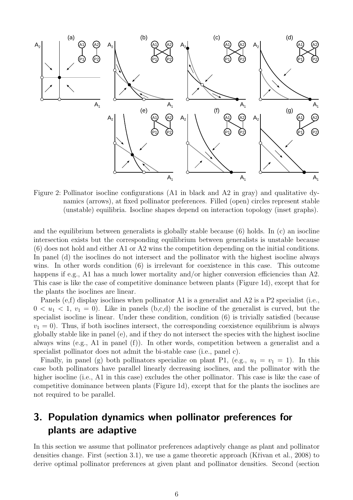

<span id="page-5-1"></span>Figure 2: Pollinator isocline configurations (A1 in black and A2 in gray) and qualitative dynamics (arrows), at fixed pollinator preferences. Filled (open) circles represent stable (unstable) equilibria. Isocline shapes depend on interaction topology (inset graphs).

and the equilibrium between generalists is globally stable because [\(6\)](#page-4-0) holds. In (c) an isocline intersection exists but the corresponding equilibrium between generalists is unstable because [\(6\)](#page-4-0) does not hold and either A1 or A2 wins the competition depending on the initial conditions. In panel (d) the isoclines do not intersect and the pollinator with the highest isocline always wins. In other words condition [\(6\)](#page-4-0) is irrelevant for coexistence in this case. This outcome happens if e.g., A1 has a much lower mortality and/or higher conversion efficiencies than A2. This case is like the case of competitive dominance between plants (Figure [1d](#page-31-0)), except that for the plants the isoclines are linear.

Panels (e,f) display isoclines when pollinator A1 is a generalist and A2 is a P2 specialist (i.e.,  $0 < u_1 < 1, v_1 = 0$ ). Like in panels (b,c,d) the isocline of the generalist is curved, but the specialist isocline is linear. Under these condition, condition [\(6\)](#page-4-0) is trivially satisfied (because  $v_1 = 0$ ). Thus, if both isoclines intersect, the corresponding coexistence equilibrium is always globally stable like in panel (e), and if they do not intersect the species with the highest isocline always wins (e.g., A1 in panel (f)). In other words, competition between a generalist and a specialist pollinator does not admit the bi-stable case (i.e., panel c).

Finally, in panel (g) both pollinators specialize on plant P1, (e.g.,  $u_1 = v_1 = 1$ ). In this case both pollinators have parallel linearly decreasing isoclines, and the pollinator with the higher isocline (i.e., A1 in this case) excludes the other pollinator. This case is like the case of competitive dominance between plants (Figure [1d](#page-31-0)), except that for the plants the isoclines are not required to be parallel.

# <span id="page-5-0"></span>3. Population dynamics when pollinator preferences for plants are adaptive

In this section we assume that pollinator preferences adaptively change as plant and pollinator densities change. First (section [3.1\)](#page-6-0), we use a game theoretic approach (Křivan et al., 2008) to derive optimal pollinator preferences at given plant and pollinator densities. Second (section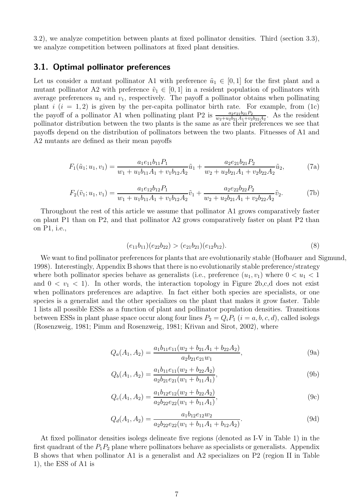[3.2\)](#page-7-0), we analyze competition between plants at fixed pollinator densities. Third (section [3.3\)](#page-15-0), we analyze competition between pollinators at fixed plant densities.

#### <span id="page-6-0"></span>3.1. Optimal pollinator preferences

Let us consider a mutant pollinator A1 with preference  $\tilde{u}_1 \in [0, 1]$  for the first plant and a mutant pollinator A2 with preference  $\tilde{v}_1 \in [0, 1]$  in a resident population of pollinators with average preferences  $u_1$  and  $v_1$ , respectively. The payoff a pollinator obtains when pollinating plant  $i$   $(i = 1, 2)$  is given by the per-capita pollinator birth rate. For example, from [\(1c\)](#page-2-3) the payoff of a pollinator A1 when pollinating plant P2 is  $\frac{a_2e_{21}b_{21}P_2}{w_2+w_2b_{21}A_1+w_2b_{22}A_2}$ . As the resident pollinator distribution between the two plants is the same as are their preferences we see that payoffs depend on the distribution of pollinators between the two plants. Fitnesses of A1 and A2 mutants are defined as their mean payoffs

$$
F_1(\tilde{u}_1; u_1, v_1) = \frac{a_1 e_{11} b_{11} P_1}{w_1 + u_1 b_{11} A_1 + v_1 b_{12} A_2} \tilde{u}_1 + \frac{a_2 e_{21} b_{21} P_2}{w_2 + u_2 b_{21} A_1 + v_2 b_{22} A_2} \tilde{u}_2,
$$
(7a)

$$
F_2(\tilde{v}_1; u_1, v_1) = \frac{a_1 e_{12} b_{12} P_1}{w_1 + u_1 b_{11} A_1 + v_1 b_{12} A_2} \tilde{v}_1 + \frac{a_2 e_{22} b_{22} P_2}{w_2 + u_2 b_{21} A_1 + v_2 b_{22} A_2} \tilde{v}_2.
$$
(7b)

Throughout the rest of this article we assume that pollinator A1 grows comparatively faster on plant P1 than on P2, and that pollinator A2 grows comparatively faster on plant P2 than on P1, i.e.,

<span id="page-6-5"></span><span id="page-6-4"></span><span id="page-6-3"></span>
$$
(e_{11}b_{11})(e_{22}b_{22}) > (e_{21}b_{21})(e_{12}b_{12}). \tag{8}
$$

<span id="page-6-1"></span>We want to find pollinator preferences for plants that are evolutionarily stable [\(Hofbauer and Sigmund](#page-22-9), [1998](#page-22-9)). Interestingly, Appendix [B](#page-25-0) shows that there is no evolutionarily stable preference/strategy where both pollinator species behave as generalists (i.e., preference  $(u_1, v_1)$  where  $0 < u_1 < 1$ and  $0 < v_1 < 1$ . In other words, the interaction topology in Figure [2b](#page-5-1),c,d does not exist when pollinators preferences are adaptive. In fact either both species are specialists, or one species is a generalist and the other specializes on the plant that makes it grow faster. Table [1](#page-7-1) lists all possible ESSs as a function of plant and pollinator population densities. Transitions between ESSs in plant phase space occur along four lines  $P_2 = Q_i P_1$   $(i = a, b, c, d)$ , called isolegs [\(Rosenzweig](#page-23-7), [1981](#page-23-7); [Pimm and Rosenzweig](#page-22-10), [1981;](#page-22-10) Křivan and Sirot, [2002\)](#page-22-11), where

$$
Q_a(A_1, A_2) = \frac{a_1 b_{11} e_{11} (w_2 + b_{21} A_1 + b_{22} A_2)}{a_2 b_{21} e_{21} w_1},
$$
\n(9a)

<span id="page-6-7"></span>
$$
Q_b(A_1, A_2) = \frac{a_1 b_{11} e_{11}(w_2 + b_{22} A_2)}{a_2 b_{21} e_{21}(w_1 + b_{11} A_1)},
$$
\n(9b)

<span id="page-6-8"></span>
$$
Q_c(A_1, A_2) = \frac{a_1 b_{12} e_{12} (w_2 + b_{22} A_2)}{a_2 b_{22} e_{22} (w_1 + b_{11} A_1)},
$$
\n(9c)

<span id="page-6-6"></span>
$$
Q_d(A_1, A_2) = \frac{a_1 b_{12} e_{12} w_2}{a_2 b_{22} e_{22} (w_1 + b_{11} A_1 + b_{12} A_2)}.
$$
\n(9d)

<span id="page-6-2"></span>At fixed pollinator densities isolegs delineate five regions (denoted as I-V in Table [1\)](#page-7-1) in the first quadrant of the  $P_1P_2$  plane where pollinators behave as specialists or generalists. Appendix [B](#page-25-0) shows that when pollinator A1 is a generalist and A2 specializes on P2 (region II in Table [1\)](#page-7-1), the ESS of A1 is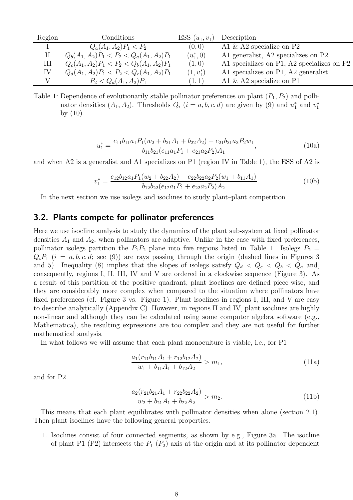| Region         | Conditions                                  | $ESS (u_1, v_1)$ | Description                                |
|----------------|---------------------------------------------|------------------|--------------------------------------------|
|                | $Q_a(A_1, A_2)P_1 < P_2$                    | (0, 0)           | A1 $\&$ A2 specialize on P2                |
| $\mathbf{\Pi}$ | $Q_b(A_1, A_2)P_1 < P_2 < Q_a(A_1, A_2)P_1$ | $(u_1^*,0)$      | A1 generalist, A2 specializes on P2        |
| Ш              | $Q_c(A_1, A_2)P_1 < P_2 < Q_b(A_1, A_2)P_1$ | (1,0)            | A1 specializes on P1, A2 specializes on P2 |
| IV             | $Q_d(A_1, A_2)P_1 < P_2 < Q_c(A_1, A_2)P_1$ | $(1, v_1^*)$     | A1 specializes on P1, A2 generalist        |
|                | $P_2 < Q_d(A_1, A_2)P_1$                    | (1,1)            | A1 $\&$ A2 specialize on P1                |

<span id="page-7-1"></span>Table 1: Dependence of evolutionarily stable pollinator preferences on plant  $(P_1, P_2)$  and pollinator densities  $(A_1, A_2)$ . Thresholds  $Q_i$   $(i = a, b, c, d)$  are given by [\(9\)](#page-6-1) and  $u_1^*$  and  $v_1^*$ 1 by [\(10\)](#page-6-2).

<span id="page-7-4"></span>
$$
u_1^* = \frac{e_{11}b_{11}a_1P_1(w_2 + b_{21}A_1 + b_{22}A_2) - e_{21}b_{21}a_2P_2w_1}{b_{11}b_{21}(e_{11}a_1P_1 + e_{21}a_2P_2)A_1},
$$
\n(10a)

and when A2 is a generalist and A1 specializes on P1 (region IV in Table [1\)](#page-7-1), the ESS of A2 is

$$
v_1^* = \frac{e_{12}b_{12}a_1P_1(w_2 + b_{22}A_2) - e_{22}b_{22}a_2P_2(w_1 + b_{11}A_1)}{b_{12}b_{22}(e_{12}a_1P_1 + e_{22}a_2P_2)A_2}.
$$
 (10b)

In the next section we use isolegs and isoclines to study plant–plant competition.

#### <span id="page-7-0"></span>3.2. Plants compete for pollinator preferences

Here we use isocline analysis to study the dynamics of the plant sub-system at fixed pollinator densities  $A_1$  and  $A_2$ , when pollinators are adaptive. Unlike in the case with fixed preferences, pollinator isolegs partition the  $P_1P_2$  plane into five regions listed in Table [1.](#page-7-1) Isolegs  $P_2$  =  $Q_iP_1$  (i = a, b, c, d; see [\(9\)](#page-6-1)) are rays passing through the origin (dashed lines in Figures [3](#page-10-0) and [5\)](#page-13-0). Inequality [\(8\)](#page-6-3) implies that the slopes of isolegs satisfy  $Q_d < Q_c < Q_b < Q_a$  and, consequently, regions I, II, III, IV and V are ordered in a clockwise sequence (Figure [3\)](#page-10-0). As a result of this partition of the positive quadrant, plant isoclines are defined piece-wise, and they are considerably more complex when compared to the situation where pollinators have fixed preferences (cf. Figure [3](#page-10-0) vs. Figure [1\)](#page-31-0). Plant isoclines in regions I, III, and V are easy to describe analytically (Appendix [C\)](#page-27-0). However, in regions II and IV, plant isoclines are highly non-linear and although they can be calculated using some computer algebra software (e.g., Mathematica), the resulting expressions are too complex and they are not useful for further mathematical analysis.

In what follows we will assume that each plant monoculture is viable, i.e., for P1

<span id="page-7-2"></span>
$$
\frac{a_1(r_{11}b_{11}A_1 + r_{12}b_{12}A_2)}{w_1 + b_{11}A_1 + b_{12}A_2} > m_1,
$$
\n(11a)

and for P2

<span id="page-7-3"></span>
$$
\frac{a_2(r_{21}b_{21}A_1 + r_{22}b_{22}A_2)}{w_2 + b_{21}A_1 + b_{22}A_2} > m_2.
$$
\n(11b)

This means that each plant equilibrates with pollinator densities when alone (section [2.1\)](#page-3-3). Then plant isoclines have the following general properties:

1. Isoclines consist of four connected segments, as shown by e.g., Figure [3a](#page-10-0). The isocline of plant P1 (P2) intersects the  $P_1$  ( $P_2$ ) axis at the origin and at its pollinator-dependent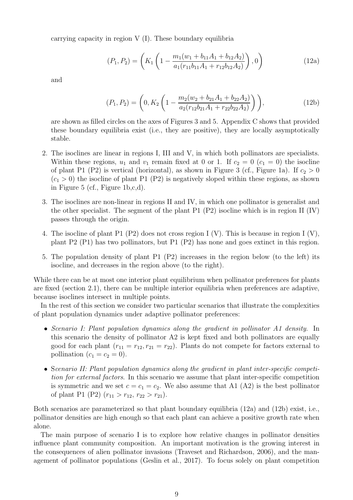carrying capacity in region  $V(I)$ . These boundary equilibria

<span id="page-8-0"></span>
$$
(P_1, P_2) = \left( K_1 \left( 1 - \frac{m_1(w_1 + b_{11}A_1 + b_{12}A_2)}{a_1(r_{11}b_{11}A_1 + r_{12}b_{12}A_2)} \right), 0 \right)
$$
(12a)

and

<span id="page-8-1"></span>
$$
(P_1, P_2) = \left(0, K_2 \left(1 - \frac{m_2(w_2 + b_{21}A_1 + b_{22}A_2)}{a_2(r_{12}b_{21}A_1 + r_{22}b_{22}A_2)}\right)\right),
$$
\n(12b)

are shown as filled circles on the axes of Figures [3](#page-10-0) and [5.](#page-13-0) Appendix [C](#page-27-0) shows that provided these boundary equilibria exist (i.e., they are positive), they are locally asymptotically stable.

- 2. The isoclines are linear in regions I, III and V, in which both pollinators are specialists. Within these regions,  $u_1$  and  $v_1$  remain fixed at 0 or 1. If  $c_2 = 0$  ( $c_1 = 0$ ) the isocline of plant P1 (P2) is vertical (horizontal), as shown in Figure [3](#page-10-0) (cf., Figure [1a](#page-31-0)). If  $c_2 > 0$  $(c_1 > 0)$  the isocline of plant P1 (P2) is negatively sloped within these regions, as shown in Figure [5](#page-13-0) (cf., Figure [1b](#page-31-0),c,d).
- 3. The isoclines are non-linear in regions II and IV, in which one pollinator is generalist and the other specialist. The segment of the plant P1 (P2) isocline which is in region II (IV) passes through the origin.
- 4. The isocline of plant P1 (P2) does not cross region I (V). This is because in region I (V), plant P2 (P1) has two pollinators, but P1 (P2) has none and goes extinct in this region.
- 5. The population density of plant P1 (P2) increases in the region below (to the left) its isocline, and decreases in the region above (to the right).

While there can be at most one interior plant equilibrium when pollinator preferences for plants are fixed (section [2.1\)](#page-3-3), there can be multiple interior equilibria when preferences are adaptive, because isoclines intersect in multiple points.

In the rest of this section we consider two particular scenarios that illustrate the complexities of plant population dynamics under adaptive pollinator preferences:

- *Scenario I: Plant population dynamics along the gradient in pollinator A1 density*. In this scenario the density of pollinator A2 is kept fixed and both pollinators are equally good for each plant  $(r_{11} = r_{12}, r_{21} = r_{22})$ . Plants do not compete for factors external to pollination  $(c_1 = c_2 = 0)$ .
- S*cenario II: Plant population dynamics along the gradient in plant inter-specific competition for external factors*. In this scenario we assume that plant inter-specific competition is symmetric and we set  $c = c_1 = c_2$ . We also assume that A1 (A2) is the best pollinator of plant P1 (P2)  $(r_{11} > r_{12}, r_{22} > r_{21}).$

Both scenarios are parameterized so that plant boundary equilibria [\(12a\)](#page-8-0) and [\(12b\)](#page-8-1) exist, i.e., pollinator densities are high enough so that each plant can achieve a positive growth rate when alone.

The main purpose of scenario I is to explore how relative changes in pollinator densities influence plant community composition. An important motivation is the growing interest in the consequences of alien pollinator invasions [\(Traveset and Richardson, 2006\)](#page-23-8), and the management of pollinator populations [\(Geslin et al., 2017\)](#page-22-12). To focus solely on plant competition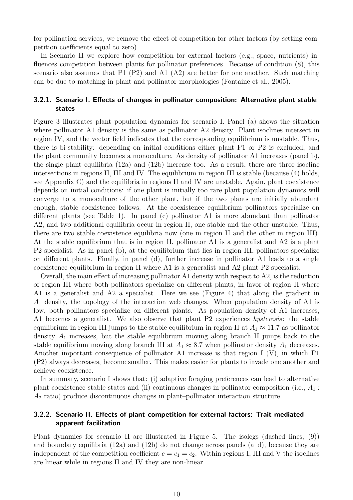for pollination services, we remove the effect of competition for other factors (by setting competition coefficients equal to zero).

In Scenario II we explore how competition for external factors (e.g., space, nutrients) influences competition between plants for pollinator preferences. Because of condition [\(8\)](#page-6-3), this scenario also assumes that P1  $(P2)$  and A1  $(A2)$  are better for one another. Such matching can be due to matching in plant and pollinator morphologies [\(Fontaine et al.](#page-21-5), [2005\)](#page-21-5).

#### 3.2.1. Scenario I. Effects of changes in pollinator composition: Alternative plant stable states

Figure [3](#page-10-0) illustrates plant population dynamics for scenario I. Panel (a) shows the situation where pollinator A1 density is the same as pollinator A2 density. Plant isoclines intersect in region IV, and the vector field indicates that the corresponding equilibrium is unstable. Thus, there is bi-stability: depending on initial conditions either plant P1 or P2 is excluded, and the plant community becomes a monoculture. As density of pollinator A1 increases (panel b), the single plant equilibria [\(12a\)](#page-8-0) and [\(12b\)](#page-8-1) increase too. As a result, there are three isocline intersections in regions II, III and IV. The equilibrium in region III is stable (because [\(4\)](#page-3-2) holds, see Appendix [C\)](#page-27-0) and the equilibria in regions II and IV are unstable. Again, plant coexistence depends on initial conditions: if one plant is initially too rare plant population dynamics will converge to a monoculture of the other plant, but if the two plants are initially abundant enough, stable coexistence follows. At the coexistence equilibrium pollinators specialize on different plants (see Table [1\)](#page-7-1). In panel (c) pollinator A1 is more abundant than pollinator A2, and two additional equilibria occur in region II, one stable and the other unstable. Thus, there are two stable coexistence equilibria now (one in region II and the other in region III). At the stable equilibrium that is in region II, pollinator A1 is a generalist and A2 is a plant P2 specialist. As in panel (b), at the equilibrium that lies in region III, pollinators specialize on different plants. Finally, in panel (d), further increase in pollinator A1 leads to a single coexistence equilibrium in region II where A1 is a generalist and A2 plant P2 specialist.

Overall, the main effect of increasing pollinator A1 density with respect to A2, is the reduction of region III where both pollinators specialize on different plants, in favor of region II where A1 is a generalist and A2 a specialist. Here we see (Figure [4\)](#page-11-0) that along the gradient in  $A_1$  density, the topology of the interaction web changes. When population density of A1 is low, both pollinators specialize on different plants. As population density of A1 increases, A1 becomes a generalist. We also observe that plant P2 experiences *hysteresis*: the stable equilibrium in region III jumps to the stable equilibrium in region II at  $A_1 \approx 11.7$  as pollinator density  $A_1$  increases, but the stable equilibrium moving along branch II jumps back to the stable equilibrium moving along branch III at  $A_1 \approx 8.7$  when pollinator density  $A_1$  decreases. Another important consequence of pollinator A1 increase is that region I (V), in which P1 (P2) always decreases, become smaller. This makes easier for plants to invade one another and achieve coexistence.

In summary, scenario I shows that: (i) adaptive foraging preferences can lead to alternative plant coexistence stable states and (ii) continuous changes in pollinator composition (i.e.,  $A_1$ :  $A_2$  ratio) produce discontinuous changes in plant–pollinator interaction structure.

#### 3.2.2. Scenario II. Effects of plant competition for external factors: Trait-mediated apparent facilitation

Plant dynamics for scenario II are illustrated in Figure [5.](#page-13-0) The isolegs (dashed lines, [\(9\)](#page-6-1)) and boundary equilibria [\(12a\)](#page-8-0) and [\(12b\)](#page-8-1) do not change across panels (a–d), because they are independent of the competition coefficient  $c = c_1 = c_2$ . Within regions I, III and V the isoclines are linear while in regions II and IV they are non-linear.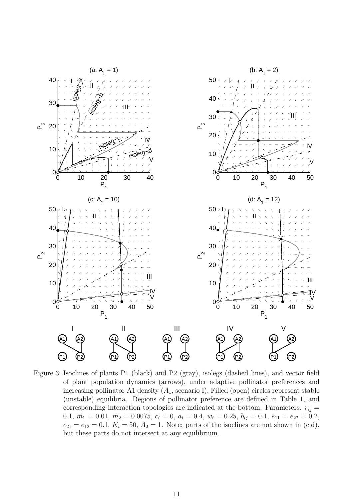

<span id="page-10-0"></span>Figure 3: Isoclines of plants P1 (black) and P2 (gray), isolegs (dashed lines), and vector field of plant population dynamics (arrows), under adaptive pollinator preferences and increasing pollinator A1 density  $(A_1, \text{scenario I})$ . Filled (open) circles represent stable (unstable) equilibria. Regions of pollinator preference are defined in Table [1,](#page-7-1) and corresponding interaction topologies are indicated at the bottom. Parameters:  $r_{ij} =$ 0.1,  $m_1 = 0.01$ ,  $m_2 = 0.0075$ ,  $c_i = 0$ ,  $a_i = 0.4$ ,  $w_i = 0.25$ ,  $b_{ij} = 0.1$ ,  $e_{11} = e_{22} = 0.2$ ,  $e_{21} = e_{12} = 0.1, K_i = 50, A_2 = 1.$  Note: parts of the isoclines are not shown in (c,d), but these parts do not intersect at any equilibrium.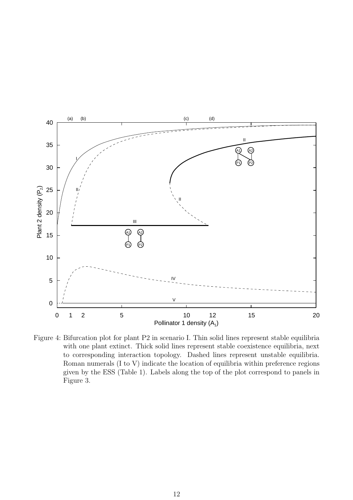

<span id="page-11-0"></span>Figure 4: Bifurcation plot for plant P2 in scenario I. Thin solid lines represent stable equilibria with one plant extinct. Thick solid lines represent stable coexistence equilibria, next to corresponding interaction topology. Dashed lines represent unstable equilibria. Roman numerals (I to V) indicate the location of equilibria within preference regions given by the ESS (Table [1\)](#page-7-1). Labels along the top of the plot correspond to panels in Figure [3.](#page-10-0)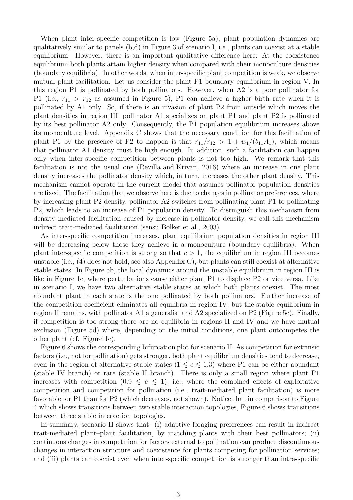When plant inter-specific competition is low (Figure [5a](#page-13-0)), plant population dynamics are qualitatively similar to panels (b,d) in Figure [3](#page-10-0) of scenario I, i.e., plants can coexist at a stable equilibrium. However, there is an important qualitative difference here: At the coexistence equilibrium both plants attain higher density when compared with their monoculture densities (boundary equilibria). In other words, when inter-specific plant competition is weak, we observe mutual plant facilitation. Let us consider the plant P1 boundary equilibrium in region V. In this region P1 is pollinated by both pollinators. However, when A2 is a poor pollinator for P1 (i.e.,  $r_{11} > r_{12}$  as assumed in Figure [5\)](#page-13-0), P1 can achieve a higher birth rate when it is pollinated by A1 only. So, if there is an invasion of plant P2 from outside which moves the plant densities in region III, pollinator A1 specializes on plant P1 and plant P2 is pollinated by its best pollinator A2 only. Consequently, the P1 population equilibrium increases above its monoculture level. Appendix [C](#page-27-0) shows that the necessary condition for this facilitation of plant P1 by the presence of P2 to happen is that  $r_{11}/r_{12} > 1 + w_1/(b_{11}A_1)$ , which means that pollinator A1 density must be high enough. In addition, such a facilitation can happen only when inter-specific competition between plants is not too high. We remark that this facilitation is not the usual one (Revilla and Křivan, [2016](#page-23-4)) where an increase in one plant density increases the pollinator density which, in turn, increases the other plant density. This mechanism cannot operate in the current model that assumes pollinator population densities are fixed. The facilitation that we observe here is due to changes in pollinator preferences, where by increasing plant P2 density, pollinator A2 switches from pollinating plant P1 to pollinating P2, which leads to an increase of P1 population density. To distinguish this mechanism from density mediated facilitation caused by increase in pollinator density, we call this mechanism indirect trait-mediated facilitation (sensu [Bolker et al., 2003](#page-21-2)).

As inter-specific competition increases, plant equilibrium population densities in region III will be decreasing below those they achieve in a monoculture (boundary equilibria). When plant inter-specific competition is strong so that  $c > 1$ , the equilibrium in region III becomes unstable (i.e., [\(4\)](#page-3-2) does not hold, see also Appendix [C\)](#page-27-0), but plants can still coexist at alternative stable states. In Figure [5b](#page-13-0), the local dynamics around the unstable equilibrium in region III is like in Figure [1c](#page-31-0), where perturbations cause either plant P1 to displace P2 or vice versa. Like in scenario I, we have two alternative stable states at which both plants coexist. The most abundant plant in each state is the one pollinated by both pollinators. Further increase of the competition coefficient eliminates all equilibria in region IV, but the stable equilibrium in region II remains, with pollinator A1 a generalist and A2 specialized on P2 (Figure [5c](#page-13-0)). Finally, if competition is too strong there are no equilibria in regions II and IV and we have mutual exclusion (Figure [5d](#page-13-0)) where, depending on the initial conditions, one plant outcompetes the other plant (cf. Figure [1c](#page-31-0)).

Figure [6](#page-14-0) shows the corresponding bifurcation plot for scenario II. As competition for extrinsic factors (i.e., not for pollination) gets stronger, both plant equilibrium densities tend to decrease, even in the region of alternative stable states  $(1 \leq c \leq 1.3)$  where P1 can be either abundant (stable IV branch) or rare (stable II branch). There is only a small region where plant P1 increases with competition  $(0.9 \le c \le 1)$ , i.e., where the combined effects of exploitative competition and competition for pollination (i.e., trait-mediated plant facilitation) is more favorable for P1 than for P2 (which decreases, not shown). Notice that in comparison to Figure [4](#page-11-0) which shows transitions between two stable interaction topologies, Figure [6](#page-14-0) shows transitions between three stable interaction topologies.

In summary, scenario II shows that: (i) adaptive foraging preferences can result in indirect trait-mediated plant–plant facilitation, by matching plants with their best pollinators; (ii) continuous changes in competition for factors external to pollination can produce discontinuous changes in interaction structure and coexistence for plants competing for pollination services; and (iii) plants can coexist even when inter-specific competition is stronger than intra-specific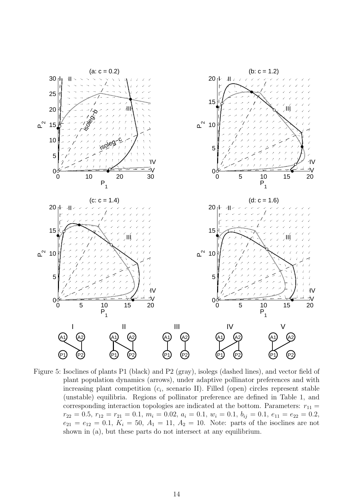

<span id="page-13-0"></span>Figure 5: Isoclines of plants P1 (black) and P2 (gray), isolegs (dashed lines), and vector field of plant population dynamics (arrows), under adaptive pollinator preferences and with increasing plant competition  $(c_i, \text{ scenario II})$ . Filled (open) circles represent stable (unstable) equilibria. Regions of pollinator preference are defined in Table [1,](#page-7-1) and corresponding interaction topologies are indicated at the bottom. Parameters:  $r_{11} =$  $r_{22} = 0.5, r_{12} = r_{21} = 0.1, m_i = 0.02, a_i = 0.1, w_i = 0.1, b_{ij} = 0.1, e_{11} = e_{22} = 0.2,$  $e_{21} = e_{12} = 0.1, K_i = 50, A_1 = 11, A_2 = 10.$  Note: parts of the isoclines are not shown in (a), but these parts do not intersect at any equilibrium.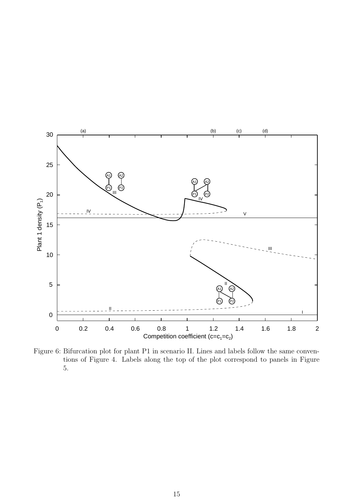

<span id="page-14-0"></span>Figure 6: Bifurcation plot for plant P1 in scenario II. Lines and labels follow the same conventions of Figure [4.](#page-11-0) Labels along the top of the plot correspond to panels in Figure [5.](#page-13-0)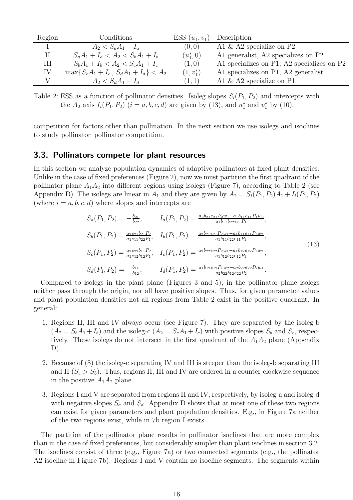| Region | Conditions                                 | $ESS (u_1, v_1)$ | Description                                |
|--------|--------------------------------------------|------------------|--------------------------------------------|
|        | $A_2 < S_a A_1 + I_a$                      | (0,0)            | A1 $\&$ A2 specialize on P2                |
|        | $S_aA_1 + I_a < A_2 < S_bA_1 + I_b$        | $(u_1^*,0)$      | A1 generalist, A2 specializes on P2        |
| Ш      | $S_bA_1 + I_b < A_2 < S_cA_1 + I_c$        | (1,0)            | A1 specializes on P1, A2 specializes on P2 |
| IV     | $\max\{S_cA_1 + I_c, S_dA_1 + I_d\} < A_2$ | $(1, v_1^*)$     | A1 specializes on P1, A2 generalist        |
|        | $A_2 < S_d A_1 + I_d$                      | (1,1)            | A1 $\&$ A2 specialize on P1                |

<span id="page-15-2"></span>Table 2: ESS as a function of pollinator densities. Isoleg slopes  $S_i(P_1, P_2)$  and intercepts with the  $A_2$  axis  $I_i(P_1, P_2)$   $(i = a, b, c, d)$  are given by [\(13\)](#page-15-1), and  $u_1^*$  and  $v_1^*$  by [\(10\)](#page-6-2).

competition for factors other than pollination. In the next section we use isolegs and isoclines to study pollinator–pollinator competition.

#### <span id="page-15-0"></span>3.3. Pollinators compete for plant resources

In this section we analyze population dynamics of adaptive pollinators at fixed plant densities. Unlike in the case of fixed preferences (Figure [2\)](#page-5-1), now we must partition the first quadrant of the pollinator plane  $A_1A_2$  into different regions using isolegs (Figure [7\)](#page-16-0), according to Table [2](#page-15-2) (see Appendix [D\)](#page-29-0). The isolegs are linear in  $A_1$  and they are given by  $A_2 = S_i(P_1, P_2)A_1 + I_i(P_1, P_2)$ (where  $i = a, b, c, d$ ) where slopes and intercepts are

<span id="page-15-1"></span>
$$
S_a(P_1, P_2) = -\frac{b_{21}}{b_{22}}, \qquad I_a(P_1, P_2) = \frac{a_2 b_{21} e_{21} P_2 w_1 - a_1 b_{11} e_{11} P_1 w_2}{a_1 b_{11} b_{22} e_{11} P_1},
$$
  
\n
$$
S_b(P_1, P_2) = \frac{a_2 e_{21} b_{21} P_2}{a_1 e_{11} b_{22} P_1}, \qquad I_b(P_1, P_2) = \frac{a_2 b_{21} e_{21} P_2 w_1 - a_1 b_{11} e_{11} P_1 w_2}{a_1 b_{11} b_{22} e_{11} P_1},
$$
  
\n
$$
S_c(P_1, P_2) = \frac{a_2 e_{22} b_{11} P_2}{a_1 e_{12} b_{12} P_1}, \qquad I_c(P_1, P_2) = \frac{a_2 b_{22} e_{22} P_2 w_1 - a_1 b_{12} e_{12} P_1 w_2}{a_1 b_{12} b_{22} e_{12} P_1},
$$
  
\n
$$
S_d(P_1, P_2) = -\frac{b_{11}}{b_{12}}, \qquad I_d(P_1, P_2) = \frac{a_1 b_{12} e_{12} P_1 w_2 - a_2 b_{22} e_{22} P_2 w_1}{a_2 b_{22} b_{12} e_{22} P_2}.
$$
  
\n(13)

Compared to isolegs in the plant plane (Figures [3](#page-10-0) and [5\)](#page-13-0), in the pollinator plane isolegs neither pass through the origin, nor all have positive slopes. Thus, for given parameter values and plant population densities not all regions from Table [2](#page-15-2) exist in the positive quadrant. In general:

- 1. Regions II, III and IV always occur (see Figure [7\)](#page-16-0). They are separated by the isoleg-b  $(A_2 = S_bA_1 + I_b)$  and the isoleg-c  $(A_2 = S_cA_1 + I_c)$  with positive slopes  $S_b$  and  $S_c$ , respectively. These isolegs do not intersect in the first quadrant of the  $A_1A_2$  plane (Appendix  $D$ ).
- 2. Because of [\(8\)](#page-6-3) the isoleg-c separating IV and III is steeper than the isoleg-b separating III and II  $(S_c > S_b)$ . Thus, regions II, III and IV are ordered in a counter-clockwise sequence in the positive  $A_1A_2$  plane.
- 3. Regions I and V are separated from regions II and IV, respectively, by isoleg-a and isoleg-d with negative slopes  $S_a$  and  $S_d$ . Appendix [D](#page-29-0) shows that at most one of these two regions can exist for given parameters and plant population densities. E.g., in Figure [7a](#page-16-0) neither of the two regions exist, while in [7b](#page-16-0) region I exists.

The partition of the pollinator plane results in pollinator isoclines that are more complex than in the case of fixed preferences, but considerably simpler than plant isoclines in section [3.2.](#page-7-0) The isoclines consist of three (e.g., Figure [7a](#page-16-0)) or two connected segments (e.g., the pollinator A2 isocline in Figure [7b](#page-16-0)). Regions I and V contain no isocline segments. The segments within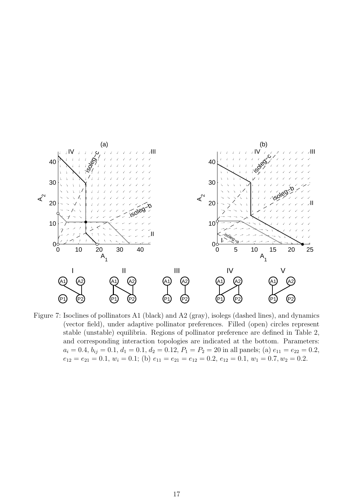

<span id="page-16-0"></span>Figure 7: Isoclines of pollinators A1 (black) and A2 (gray), isolegs (dashed lines), and dynamics (vector field), under adaptive pollinator preferences. Filled (open) circles represent stable (unstable) equilibria. Regions of pollinator preference are defined in Table [2,](#page-15-2) and corresponding interaction topologies are indicated at the bottom. Parameters:  $a_i = 0.4, b_{ij} = 0.1, d_1 = 0.1, d_2 = 0.12, P_1 = P_2 = 20$  in all panels; (a)  $e_{11} = e_{22} = 0.2$ ,  $e_{12} = e_{21} = 0.1, w_i = 0.1;$  (b)  $e_{11} = e_{21} = e_{12} = 0.2, e_{12} = 0.1, w_1 = 0.7, w_2 = 0.2.$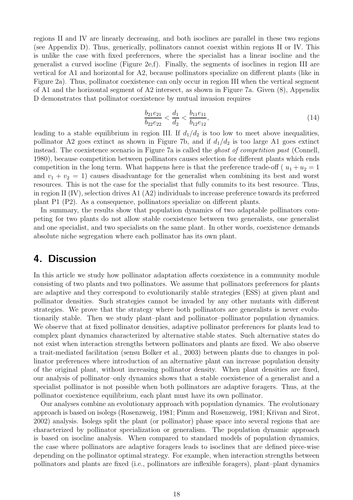regions II and IV are linearly decreasing, and both isoclines are parallel in these two regions (see Appendix [D\)](#page-29-0). Thus, generically, pollinators cannot coexist within regions II or IV. This is unlike the case with fixed preferences, where the specialist has a linear isocline and the generalist a curved isocline (Figure [2e](#page-5-1),f). Finally, the segments of isoclines in region III are vertical for A1 and horizontal for A2, because pollinators specialize on different plants (like in Figure [2a](#page-5-1)). Thus, pollinator coexistence can only occur in region III when the vertical segment of A1 and the horizontal segment of A2 intersect, as shown in Figure [7a](#page-16-0). Given [\(8\)](#page-6-3), Appendix [D](#page-29-0) demonstrates that pollinator coexistence by mutual invasion requires

$$
\frac{b_{21}e_{21}}{b_{22}e_{22}} < \frac{d_1}{d_2} < \frac{b_{11}e_{11}}{b_{12}e_{12}},\tag{14}
$$

leading to a stable equilibrium in region III. If  $d_1/d_2$  is too low to meet above inequalities, pollinator A2 goes extinct as shown in Figure [7b](#page-16-0), and if  $d_1/d_2$  is too large A1 goes extinct instead. The coexistence scenario in Figure [7a](#page-16-0) is called the *ghost of competition past* [\(Connell](#page-21-6), [1980](#page-21-6)), because competition between pollinators causes selection for different plants which ends competition in the long term. What happens here is that the preference trade-off ( $u_1 + u_2 = 1$ and  $v_1 + v_2 = 1$ ) causes disadvantage for the generalist when combining its best and worst resources. This is not the case for the specialist that fully commits to its best resource. Thus, in region II (IV), selection drives A1 (A2) individuals to increase preference towards its preferred plant P1 (P2). As a consequence, pollinators specialize on different plants.

In summary, the results show that population dynamics of two adaptable pollinators competing for two plants do not allow stable coexistence between two generalists, one generalist and one specialist, and two specialists on the same plant. In other words, coexistence demands absolute niche segregation where each pollinator has its own plant.

### 4. Discussion

In this article we study how pollinator adaptation affects coexistence in a community module consisting of two plants and two pollinators. We assume that pollinators preferences for plants are adaptive and they correspond to evolutionarily stable strategies (ESS) at given plant and pollinator densities. Such strategies cannot be invaded by any other mutants with different strategies. We prove that the strategy where both pollinators are generalists is never evolutionarily stable. Then we study plant–plant and pollinator–pollinator population dynamics. We observe that at fixed pollinator densities, adaptive pollinator preferences for plants lead to complex plant dynamics characterized by alternative stable states. Such alternative states do not exist when interaction strengths between pollinators and plants are fixed. We also observe a trait-mediated facilitation (sensu [Bolker et al.](#page-21-2), [2003](#page-21-2)) between plants due to changes in pollinator preferences where introduction of an alternative plant can increase population density of the original plant, without increasing pollinator density. When plant densities are fixed, our analysis of pollinator–only dynamics shows that a stable coexistence of a generalist and a specialist pollinator is not possible when both pollinators are adaptive foragers. Thus, at the pollinator coexistence equilibrium, each plant must have its own pollinator.

Our analyses combine an evolutionary approach with population dynamics. The evolutionary approach is based on isolegs [\(Rosenzweig](#page-23-7), [1981;](#page-23-7) [Pimm and Rosenzweig](#page-22-10), [1981](#page-22-10); Křivan and Sirot, [2002](#page-22-11)) analysis. Isolegs split the plant (or pollinator) phase space into several regions that are characterized by pollinator specialization or generalism. The population dynamic approach is based on isocline analysis. When compared to standard models of population dynamics, the case where pollinators are adaptive foragers leads to isoclines that are defined piece-wise depending on the pollinator optimal strategy. For example, when interaction strengths between pollinators and plants are fixed (i.e., pollinators are inflexible foragers), plant–plant dynamics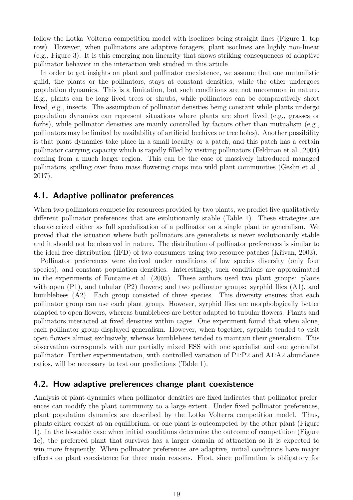follow the Lotka–Volterra competition model with isoclines being straight lines (Figure [1,](#page-31-0) top row). However, when pollinators are adaptive foragers, plant isoclines are highly non-linear (e.g., Figure [3\)](#page-10-0). It is this emerging non-linearity that shows striking consequences of adaptive pollinator behavior in the interaction web studied in this article.

In order to get insights on plant and pollinator coexistence, we assume that one mutualistic guild, the plants or the pollinators, stays at constant densities, while the other undergoes population dynamics. This is a limitation, but such conditions are not uncommon in nature. E.g., plants can be long lived trees or shrubs, while pollinators can be comparatively short lived, e.g., insects. The assumption of pollinator densities being constant while plants undergo population dynamics can represent situations where plants are short lived (e.g., grasses or forbs), while pollinator densities are mainly controlled by factors other than mutualism (e.g., pollinators may be limited by availability of artificial beehives or tree holes). Another possibility is that plant dynamics take place in a small locality or a patch, and this patch has a certain pollinator carrying capacity which is rapidly filled by visiting pollinators [\(Feldman et al.](#page-21-7), [2004\)](#page-21-7) coming from a much larger region. This can be the case of massively introduced managed pollinators, spilling over from mass flowering crops into wild plant communities [\(Geslin et al.](#page-22-12), [2017](#page-22-12)).

#### 4.1. Adaptive pollinator preferences

When two pollinators compete for resources provided by two plants, we predict five qualitatively different pollinator preferences that are evolutionarily stable (Table [1\)](#page-7-1). These strategies are characterized either as full specialization of a pollinator on a single plant or generalism. We proved that the situation where both pollinators are generalists is never evolutionarily stable and it should not be observed in nature. The distribution of pollinator preferences is similar to the ideal free distribution (IFD) of two consumers using two resource patches (Křivan, 2003).

Pollinator preferences were derived under conditions of low species diversity (only four species), and constant population densities. Interestingly, such conditions are approximated in the experiments of [Fontaine et al. \(2005](#page-21-5)). These authors used two plant groups: plants with open  $(P1)$ , and tubular  $(P2)$  flowers; and two pollinator groups: syrphid flies  $(A1)$ , and bumblebees (A2). Each group consisted of three species. This diversity ensures that each pollinator group can use each plant group. However, syrphid flies are morphologically better adapted to open flowers, whereas bumblebees are better adapted to tubular flowers. Plants and pollinators interacted at fixed densities within cages. One experiment found that when alone, each pollinator group displayed generalism. However, when together, syrphids tended to visit open flowers almost exclusively, whereas bumblebees tended to maintain their generalism. This observation corresponds with our partially mixed ESS with one specialist and one generalist pollinator. Further experimentation, with controlled variation of P1:P2 and A1:A2 abundance ratios, will be necessary to test our predictions (Table [1\)](#page-7-1).

#### 4.2. How adaptive preferences change plant coexistence

Analysis of plant dynamics when pollinator densities are fixed indicates that pollinator preferences can modify the plant community to a large extent. Under fixed pollinator preferences, plant population dynamics are described by the Lotka–Volterra competition model. Thus, plants either coexist at an equilibrium, or one plant is outcompeted by the other plant (Figure [1\)](#page-31-0). In the bi-stable case when initial conditions determine the outcome of competition (Figure [1c](#page-31-0)), the preferred plant that survives has a larger domain of attraction so it is expected to win more frequently. When pollinator preferences are adaptive, initial conditions have major effects on plant coexistence for three main reasons. First, since pollination is obligatory for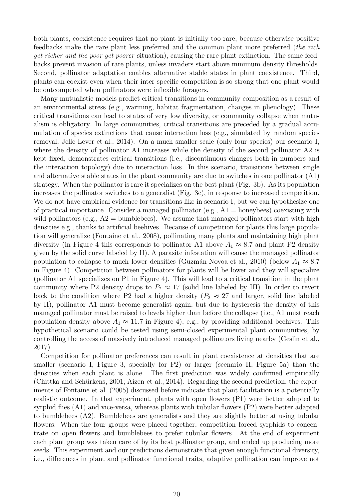both plants, coexistence requires that no plant is initially too rare, because otherwise positive feedbacks make the rare plant less preferred and the common plant more preferred (*the rich get richer and the poor get poorer* situation), causing the rare plant extinction. The same feedbacks prevent invasion of rare plants, unless invaders start above minimum density thresholds. Second, pollinator adaptation enables alternative stable states in plant coexistence. Third, plants can coexist even when their inter-specific competition is so strong that one plant would be outcompeted when pollinators were inflexible foragers.

Many mutualistic models predict critical transitions in community composition as a result of an environmental stress (e.g., warming, habitat fragmentation, changes in phenology). These critical transitions can lead to states of very low diversity, or community collapse when mutualism is obligatory. In large communities, critical transitions are preceded by a gradual accumulation of species extinctions that cause interaction loss (e.g., simulated by random species removal, [Jelle Lever et al., 2014\)](#page-22-14). On a much smaller scale (only four species) our scenario I, where the density of pollinator A1 increases while the density of the second pollinator A2 is kept fixed, demonstrates critical transitions (i.e., discontinuous changes both in numbers and the interaction topology) due to interaction loss. In this scenario, transitions between single and alternative stable states in the plant community are due to switches in one pollinator (A1) strategy. When the pollinator is rare it specializes on the best plant (Fig. [3b](#page-10-0)). As its population increases the pollinator switches to a generalist (Fig. [3c](#page-10-0)), in response to increased competition. We do not have empirical evidence for transitions like in scenario I, but we can hypothesize one of practical importance. Consider a managed pollinator (e.g.,  $A1 =$  honeybees) coexisting with wild pollinators (e.g.,  $A2 =$  bumblebees). We assume that managed pollinators start with high densities e.g., thanks to artificial beehives. Because of competition for plants this large population will generalize [\(Fontaine et al.](#page-21-8), [2008](#page-21-8)), pollinating many plants and maintaining high plant diversity (in Figure [4](#page-11-0) this corresponds to pollinator A1 above  $A_1 \approx 8.7$  and plant P2 density given by the solid curve labeled by II). A parasite infestation will cause the managed pollinator population to collapse to much lower densities (Guzmán-Novoa et al., [2010](#page-22-15)) (below  $A_1 \approx 8.7$ in Figure [4\)](#page-11-0). Competition between pollinators for plants will be lower and they will specialize (pollinator A1 specializes on P1 in Figure [4\)](#page-11-0). This will lead to a critical transition in the plant community where P2 density drops to  $P_2 \approx 17$  (solid line labeled by III). In order to revert back to the condition where P2 had a higher density ( $P_2 \approx 27$  and larger, solid line labeled by II), pollinator A1 must become generalist again, but due to hysteresis the density of this managed pollinator must be raised to levels higher than before the collapse (i.e., A1 must reach population density above  $A_1 \approx 11.7$  in Figure [4\)](#page-11-0), e.g., by providing additional beehives. This hypothetical scenario could be tested using semi-closed experimental plant communities, by controlling the access of massively introduced managed pollinators living nearby [\(Geslin et al.](#page-22-12), [2017](#page-22-12)).

Competition for pollinator preferences can result in plant coexistence at densities that are smaller (scenario I, Figure [3,](#page-10-0) specially for P2) or larger (scenario II, Figure [5a](#page-13-0)) than the densities when each plant is alone. The first prediction was widely confirmed empirically (Chittka and Schürkens, [2001;](#page-21-9) [Aizen et al.](#page-21-10), [2014](#page-21-10)). Regarding the second prediction, the experiments of [Fontaine et al. \(2005](#page-21-5)) discussed before indicate that plant facilitation is a potentially realistic outcome. In that experiment, plants with open flowers (P1) were better adapted to syrphid flies (A1) and vice-versa, whereas plants with tubular flowers (P2) were better adapted to bumblebees (A2). Bumblebees are generalists and they are slightly better at using tubular flowers. When the four groups were placed together, competition forced syrphids to concentrate on open flowers and bumblebees to prefer tubular flowers. At the end of experiment each plant group was taken care of by its best pollinator group, and ended up producing more seeds. This experiment and our predictions demonstrate that given enough functional diversity, i.e., differences in plant and pollinator functional traits, adaptive pollination can improve not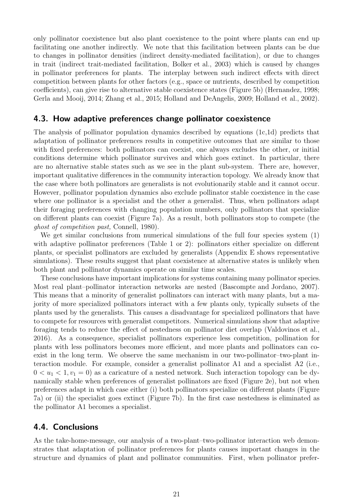only pollinator coexistence but also plant coexistence to the point where plants can end up facilitating one another indirectly. We note that this facilitation between plants can be due to changes in pollinator densities (indirect density-mediated facilitation), or due to changes in trait (indirect trait-mediated facilitation, [Bolker et al.](#page-21-2), [2003](#page-21-2)) which is caused by changes in pollinator preferences for plants. The interplay between such indirect effects with direct competition between plants for other factors (e.g., space or nutrients, described by competition coefficients), can give rise to alternative stable coexistence states (Figure [5b](#page-13-0)) [\(Hernandez](#page-22-1), [1998](#page-22-1); [Gerla and Mooij, 2014;](#page-22-2) [Zhang et al.](#page-23-9), [2015;](#page-23-9) [Holland and DeAngelis](#page-22-16), [2009](#page-22-16); [Holland et al., 2002\)](#page-22-17).

#### 4.3. How adaptive preferences change pollinator coexistence

The analysis of pollinator population dynamics described by equations [\(1c](#page-2-3)[,1d\)](#page-2-4) predicts that adaptation of pollinator preferences results in competitive outcomes that are similar to those with fixed preferences: both pollinators can coexist, one always excludes the other, or initial conditions determine which pollinator survives and which goes extinct. In particular, there are no alternative stable states such as we see in the plant sub-system. There are, however, important qualitative differences in the community interaction topology. We already know that the case where both pollinators are generalists is not evolutionarily stable and it cannot occur. However, pollinator population dynamics also exclude pollinator stable coexistence in the case where one pollinator is a specialist and the other a generalist. Thus, when pollinators adapt their foraging preferences with changing population numbers, only pollinators that specialize on different plants can coexist (Figure [7a](#page-16-0)). As a result, both pollinators stop to compete (the *ghost of competition past,* [Connell, 1980\)](#page-21-6).

We get similar conclusions from numerical simulations of the full four species system [\(1\)](#page-2-5) with adaptive pollinator preferences (Table [1](#page-7-1) or [2\)](#page-15-2): pollinators either specialize on different plants, or specialist pollinators are excluded by generalists (Appendix [E](#page-30-0) shows representative simulations). These results suggest that plant coexistence at alternative states is unlikely when both plant and pollinator dynamics operate on similar time scales.

These conclusions have important implications for systems containing many pollinator species. Most real plant–pollinator interaction networks are nested [\(Bascompte and Jordano, 2007\)](#page-21-11). This means that a minority of generalist pollinators can interact with many plants, but a majority of more specialized pollinators interact with a few plants only, typically subsets of the plants used by the generalists. This causes a disadvantage for specialized pollinators that have to compete for resources with generalist competitors. Numerical simulations show that adaptive foraging tends to reduce the effect of nestedness on pollinator diet overlap [\(Valdovinos et al.](#page-23-5), [2016](#page-23-5)). As a consequence, specialist pollinators experience less competition, pollination for plants with less pollinators becomes more efficient, and more plants and pollinators can coexist in the long term. We observe the same mechanism in our two-pollinator–two-plant interaction module. For example, consider a generalist pollinator A1 and a specialist A2 (i.e.,  $0 < u_1 < 1, v_1 = 0$  as a caricature of a nested network. Such interaction topology can be dynamically stable when preferences of generalist pollinators are fixed (Figure [2e](#page-5-1)), but not when preferences adapt in which case either (i) both pollinators specialize on different plants (Figure [7a](#page-16-0)) or (ii) the specialist goes extinct (Figure [7b](#page-16-0)). In the first case nestedness is eliminated as the pollinator A1 becomes a specialist.

#### 4.4. Conclusions

As the take-home-message, our analysis of a two-plant–two-pollinator interaction web demonstrates that adaptation of pollinator preferences for plants causes important changes in the structure and dynamics of plant and pollinator communities. First, when pollinator prefer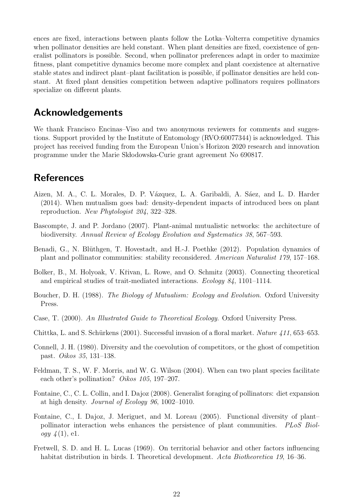ences are fixed, interactions between plants follow the Lotka–Volterra competitive dynamics when pollinator densities are held constant. When plant densities are fixed, coexistence of generalist pollinators is possible. Second, when pollinator preferences adapt in order to maximize fitness, plant competitive dynamics become more complex and plant coexistence at alternative stable states and indirect plant–plant facilitation is possible, if pollinator densities are held constant. At fixed plant densities competition between adaptive pollinators requires pollinators specialize on different plants.

# Acknowledgements

We thank Francisco Encinas–Viso and two anonymous reviewers for comments and suggestions. Support provided by the Institute of Entomology (RVO:60077344) is acknowledged. This project has received funding from the European Union's Horizon 2020 research and innovation programme under the Marie Sk lodowska-Curie grant agreement No 690817.

# **References**

- <span id="page-21-10"></span>Aizen, M. A., C. L. Morales, D. P. Vázquez, L. A. Garibaldi, A. Sáez, and L. D. Harder (2014). When mutualism goes bad: density-dependent impacts of introduced bees on plant reproduction. *New Phytologist 204*, 322–328.
- <span id="page-21-11"></span>Bascompte, J. and P. Jordano (2007). Plant-animal mutualistic networks: the architecture of biodiversity. *Annual Review of Ecology Evolution and Systematics 38*, 567–593.
- <span id="page-21-1"></span>Benadi, G., N. Blüthgen, T. Hovestadt, and H.-J. Poethke (2012). Population dynamics of plant and pollinator communities: stability reconsidered. *American Naturalist 179*, 157–168.
- <span id="page-21-2"></span>Bolker, B., M. Holyoak, V. Křivan, L. Rowe, and O. Schmitz (2003). Connecting theoretical and empirical studies of trait-mediated interactions. *Ecology 84*, 1101–1114.
- <span id="page-21-0"></span>Boucher, D. H. (1988). *The Biology of Mutualism: Ecology and Evolution*. Oxford University Press.
- <span id="page-21-4"></span>Case, T. (2000). *An Illustrated Guide to Theoretical Ecology*. Oxford University Press.
- <span id="page-21-9"></span>Chittka, L. and S. Schürkens (2001). Successful invasion of a floral market. *Nature 411*, 653–653.
- <span id="page-21-6"></span>Connell, J. H. (1980). Diversity and the coevolution of competitors, or the ghost of competition past. *Oikos 35*, 131–138.
- <span id="page-21-7"></span>Feldman, T. S., W. F. Morris, and W. G. Wilson (2004). When can two plant species facilitate each other's pollination? *Oikos 105*, 197–207.
- <span id="page-21-8"></span>Fontaine, C., C. L. Collin, and I. Dajoz (2008). Generalist foraging of pollinators: diet expansion at high density. *Journal of Ecology 96*, 1002–1010.
- <span id="page-21-5"></span>Fontaine, C., I. Dajoz, J. Meriguet, and M. Loreau (2005). Functional diversity of plant– pollinator interaction webs enhances the persistence of plant communities. *PLoS Biology 4* (1), e1.
- <span id="page-21-3"></span>Fretwell, S. D. and H. L. Lucas (1969). On territorial behavior and other factors influencing habitat distribution in birds. I. Theoretical development. *Acta Biotheoretica 19*, 16–36.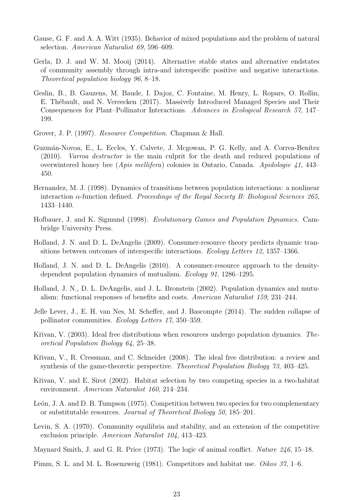- <span id="page-22-0"></span>Gause, G. F. and A. A. Witt (1935). Behavior of mixed populations and the problem of natural selection. *American Naturalist 69*, 596–609.
- <span id="page-22-2"></span>Gerla, D. J. and W. M. Mooij (2014). Alternative stable states and alternative endstates of community assembly through intra-and interspecific positive and negative interactions. *Theoretical population biology 96*, 8–18.
- <span id="page-22-12"></span>Geslin, B., B. Gauzens, M. Baude, I. Dajoz, C. Fontaine, M. Henry, L. Ropars, O. Rollin, E. Thébault, and N. Vereecken (2017). Massively Introduced Managed Species and Their Consequences for Plant–Pollinator Interactions. *Advances in Ecological Research 57*, 147– 199.
- <span id="page-22-4"></span>Grover, J. P. (1997). *Resource Competition*. Chapman & Hall.
- <span id="page-22-15"></span>Guzmán-Novoa, E., L. Eccles, Y. Calvete, J. Mcgowan, P. G. Kelly, and A. Correa-Benítez (2010). *Varroa destructor* is the main culprit for the death and reduced populations of overwintered honey bee (*Apis mellifera*) colonies in Ontario, Canada. *Apidologie 41*, 443– 450.
- <span id="page-22-1"></span>Hernandez, M. J. (1998). Dynamics of transitions between population interactions: a nonlinear interaction α-function defined. *Proceedings of the Royal Society B: Biological Sciences 265*, 1433–1440.
- <span id="page-22-9"></span>Hofbauer, J. and K. Sigmund (1998). *Evolutionary Games and Population Dynamics*. Cambridge University Press.
- <span id="page-22-16"></span>Holland, J. N. and D. L. DeAngelis (2009). Consumer-resource theory predicts dynamic transitions between outcomes of interspecific interactions. *Ecology Letters 12*, 1357–1366.
- <span id="page-22-3"></span>Holland, J. N. and D. L. DeAngelis (2010). A consumer-resource approach to the densitydependent population dynamics of mutualism. *Ecology 91*, 1286–1295.
- <span id="page-22-17"></span>Holland, J. N., D. L. DeAngelis, and J. L. Bronstein (2002). Population dynamics and mutualism: functional responses of benefits and costs. *American Naturalist 159*, 231–244.
- <span id="page-22-14"></span>Jelle Lever, J., E. H. van Nes, M. Scheffer, and J. Bascompte (2014). The sudden collapse of pollinator communities. *Ecology Letters 17*, 350–359.
- <span id="page-22-13"></span>K $\check{\text{r}}$ ivan, V. (2003). Ideal free distributions when resources undergo population dynamics. *Theoretical Population Biology 64*, 25–38.
- <span id="page-22-5"></span>Křivan, V., R. Cressman, and C. Schneider (2008). The ideal free distribution: a review and synthesis of the game-theoretic perspective. *Theoretical Population Biology 73*, 403–425.
- <span id="page-22-11"></span>K $\check{\rm r}$ ivan, V. and E. Sirot (2002). Habitat selection by two competing species in a two-habitat environment. *American Naturalist 160*, 214–234.
- <span id="page-22-8"></span>León, J. A. and D. B. Tumpson (1975). Competition between two species for two complementary or substitutable resources. *Journal of Theoretical Biology 50*, 185–201.
- <span id="page-22-7"></span>Levin, S. A. (1970). Community equilibria and stability, and an extension of the competitive exclusion principle. *American Naturalist 104*, 413–423.
- <span id="page-22-6"></span>Maynard Smith, J. and G. R. Price (1973). The logic of animal conflict. *Nature 246*, 15–18.
- <span id="page-22-10"></span>Pimm, S. L. and M. L. Rosenzweig (1981). Competitors and habitat use. *Oikos 37*, 1–6.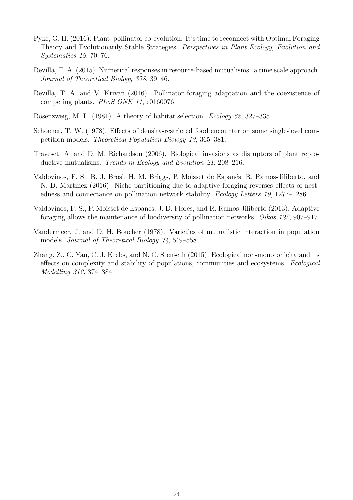- <span id="page-23-3"></span>Pyke, G. H. (2016). Plant–pollinator co-evolution: It's time to reconnect with Optimal Foraging Theory and Evolutionarily Stable Strategies. *Perspectives in Plant Ecology, Evolution and Systematics 19*, 70–76.
- <span id="page-23-2"></span>Revilla, T. A. (2015). Numerical responses in resource-based mutualisms: a time scale approach. *Journal of Theoretical Biology 378*, 39–46.
- <span id="page-23-4"></span>Revilla, T. A. and V. Křivan (2016). Pollinator foraging adaptation and the coexistence of competing plants. *PLoS ONE 11*, e0160076.
- <span id="page-23-7"></span>Rosenzweig, M. L. (1981). A theory of habitat selection. *Ecology 62*, 327–335.
- <span id="page-23-6"></span>Schoener, T. W. (1978). Effects of density-restricted food encounter on some single-level competition models. *Theoretical Population Biology 13*, 365–381.
- <span id="page-23-8"></span>Traveset, A. and D. M. Richardson (2006). Biological invasions as disruptors of plant reproductive mutualisms. *Trends in Ecology and Evolution 21*, 208–216.
- <span id="page-23-5"></span>Valdovinos, F. S., B. J. Brosi, H. M. Briggs, P. Moisset de Espanés, R. Ramos-Jiliberto, and N. D. Martinez (2016). Niche partitioning due to adaptive foraging reverses effects of nestedness and connectance on pollination network stability. *Ecology Letters 19*, 1277–1286.
- <span id="page-23-1"></span>Valdovinos, F. S., P. Moisset de Espan´es, J. D. Flores, and R. Ramos-Jiliberto (2013). Adaptive foraging allows the maintenance of biodiversity of pollination networks. *Oikos 122*, 907–917.
- <span id="page-23-0"></span>Vandermeer, J. and D. H. Boucher (1978). Varieties of mutualistic interaction in population models. *Journal of Theoretical Biology 74*, 549–558.
- <span id="page-23-9"></span>Zhang, Z., C. Yan, C. J. Krebs, and N. C. Stenseth (2015). Ecological non-monotonicity and its effects on complexity and stability of populations, communities and ecosystems. *Ecological Modelling 312*, 374–384.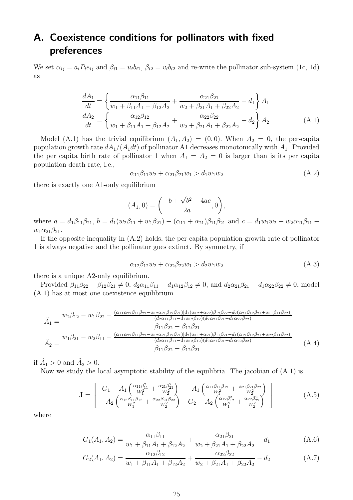# <span id="page-24-0"></span>A. Coexistence conditions for pollinators with fixed preferences

We set  $\alpha_{ij} = a_i P_i e_{ij}$  and  $\beta_{i1} = u_i b_{i1}, \beta_{i2} = v_i b_{i2}$  and re-write the pollinator sub-system [\(1c,](#page-2-3) [1d\)](#page-2-4) as

$$
\frac{dA_1}{dt} = \left\{ \frac{\alpha_{11}\beta_{11}}{w_1 + \beta_{11}A_1 + \beta_{12}A_2} + \frac{\alpha_{21}\beta_{21}}{w_2 + \beta_{21}A_1 + \beta_{22}A_2} - d_1 \right\} A_1
$$
\n
$$
\frac{dA_2}{dt} = \left\{ \frac{\alpha_{12}\beta_{12}}{w_1 + \beta_{11}A_1 + \beta_{12}A_2} + \frac{\alpha_{22}\beta_{22}}{w_2 + \beta_{21}A_1 + \beta_{22}A_2} - d_2 \right\} A_2.
$$
\n(A.1)

Model [\(A.1\)](#page-24-1) has the trivial equilibrium  $(A_1, A_2) = (0, 0)$ . When  $A_2 = 0$ , the per-capita population growth rate  $dA_1/(A_1dt)$  of pollinator A1 decreases monotonically with  $A_1$ . Provided the per capita birth rate of pollinator 1 when  $A_1 = A_2 = 0$  is larger than is its per capita population death rate, i.e.,

<span id="page-24-2"></span><span id="page-24-1"></span>
$$
\alpha_{11}\beta_{11}w_2 + \alpha_{21}\beta_{21}w_1 > d_1w_1w_2 \tag{A.2}
$$

there is exactly one A1-only equilibrium

$$
(A_1, 0) = \left(\frac{-b + \sqrt{b^2 - 4ac}}{2a}, 0\right),
$$

where  $a = d_1\beta_{11}\beta_{21}$ ,  $b = d_1(w_2\beta_{11} + w_1\beta_{21}) - (\alpha_{11} + \alpha_{21})\beta_{11}\beta_{21}$  and  $c = d_1w_1w_2 - w_2\alpha_{11}\beta_{11}$  $w_1\alpha_{21}\beta_{21}.$ 

If the opposite inequality in [\(A.2\)](#page-24-2) holds, the per-capita population growth rate of pollinator 1 is always negative and the pollinator goes extinct. By symmetry, if

<span id="page-24-4"></span><span id="page-24-3"></span>
$$
\alpha_{12}\beta_{12}w_2 + \alpha_{22}\beta_{22}w_1 > d_2w_1w_2 \tag{A.3}
$$

there is a unique A2-only equilibrium.

Provided  $\beta_{11}\beta_{22} - \beta_{12}\beta_{21} \neq 0$ ,  $d_2\alpha_{11}\beta_{11} - d_1\alpha_{12}\beta_{12} \neq 0$ , and  $d_2\alpha_{21}\beta_{21} - d_1\alpha_{22}\beta_{22} \neq 0$ , model [\(A.1\)](#page-24-1) has at most one coexistence equilibrium

$$
\hat{A}_1 = \frac{w_2 \beta_{12} - w_1 \beta_{22} + \frac{(\alpha_{11} \alpha_{22} \beta_{11} \beta_{22} - \alpha_{12} \alpha_{21} \beta_{12} \beta_{21}) [d_1(\alpha_{12} + \alpha_{22}) \beta_{12} \beta_{22} - d_2(\alpha_{21} \beta_{12} \beta_{21} + \alpha_{11} \beta_{11} \beta_{22})]}{(d_2 \alpha_{11} \beta_{11} - d_1 \alpha_{12} \beta_{12}) (d_2 \alpha_{21} \beta_{21} - d_1 \alpha_{22} \beta_{22})}
$$
\n
$$
\hat{A}_2 = \frac{w_1 \beta_{21} - w_2 \beta_{11} + \frac{(\alpha_{11} \alpha_{22} \beta_{11} \beta_{22} - \alpha_{12} \alpha_{21} \beta_{12} \beta_{21}) [d_2(\alpha_{11} + \alpha_{21}) \beta_{11} \beta_{21} - d_1(\alpha_{12} \beta_{12} \beta_{21} + \alpha_{22} \beta_{11} \beta_{22})]}{(d_2 \alpha_{11} \beta_{11} - d_1 \alpha_{12} \beta_{12}) (d_2 \alpha_{21} \beta_{21} - d_1 \alpha_{22} \beta_{22})}
$$
\n
$$
\hat{A}_1 = \frac{(\alpha_{11} \beta_{21} - \alpha_{12} \beta_{11} \beta_{22} - \alpha_{12} \alpha_{21} \beta_{12}) [d_2(\alpha_{11} + \alpha_{21}) \beta_{11} \beta_{21} - d_1(\alpha_{12} \beta_{12} \beta_{21} + \alpha_{22} \beta_{11} \beta_{22})]}{(d_2 \alpha_{11} \beta_{11} - d_1 \alpha_{12} \beta_{12}) (d_2 \alpha_{21} \beta_{21} - d_1 \alpha_{22} \beta_{22})}
$$
\n(A.4)

if  $\hat{A}_1 > 0$  and  $\hat{A}_2 > 0$ .

Now we study the local asymptotic stability of the equilibria. The jacobian of  $(A.1)$  is

$$
\mathbf{J} = \begin{bmatrix} G_1 - A_1 \left( \frac{\alpha_{11} \beta_{11}^2}{W_1^2} + \frac{\alpha_{21} \beta_{21}^2}{W_2^2} \right) & -A_1 \left( \frac{\alpha_{11} \beta_{11} \beta_{12}}{W_1^2} + \frac{\alpha_{21} \beta_{21} \beta_{22}}{W_2^2} \right) \\ -A_2 \left( \frac{\alpha_{12} \beta_{11} \beta_{12}}{W_1^2} + \frac{\alpha_{22} \beta_{21} \beta_{22}}{W_2^2} \right) & G_2 - A_2 \left( \frac{\alpha_{12} \beta_{12}^2}{W_1^2} + \frac{\alpha_{22} \beta_{22}^2}{W_2^2} \right) \end{bmatrix}
$$
(A.5)

where

$$
G_1(A_1, A_2) = \frac{\alpha_{11}\beta_{11}}{w_1 + \beta_{11}A_1 + \beta_{12}A_2} + \frac{\alpha_{21}\beta_{21}}{w_2 + \beta_{21}A_1 + \beta_{22}A_2} - d_1
$$
 (A.6)

$$
G_2(A_1, A_2) = \frac{\alpha_{12}\beta_{12}}{w_1 + \beta_{11}A_1 + \beta_{12}A_2} + \frac{\alpha_{22}\beta_{22}}{w_2 + \beta_{21}A_1 + \beta_{22}A_2} - d_2
$$
 (A.7)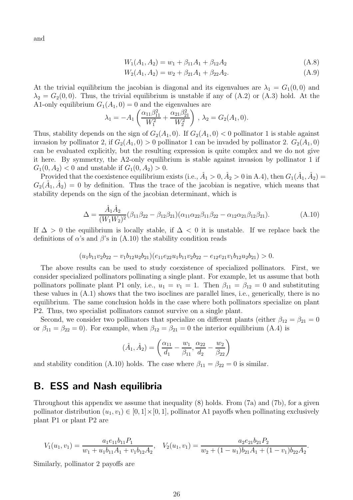and

$$
W_1(A_1, A_2) = w_1 + \beta_{11}A_1 + \beta_{12}A_2 \tag{A.8}
$$

$$
W_2(A_1, A_2) = w_2 + \beta_{21}A_1 + \beta_{22}A_2.
$$
\n(A.9)

At the trivial equilibrium the jacobian is diagonal and its eigenvalues are  $\lambda_1 = G_1(0,0)$  and  $\lambda_2 = G_2(0,0)$ . Thus, the trivial equilibrium is unstable if any of  $(A.2)$  or  $(A.3)$  hold. At the A1-only equilibrium  $G_1(A_1, 0) = 0$  and the eigenvalues are

$$
\lambda_1 = -A_1 \left( \frac{\alpha_{11} \beta_{11}^2}{W_1^2} + \frac{\alpha_{21} \beta_{21}^2}{W_2^2} \right), \lambda_2 = G_2(A_1, 0).
$$

Thus, stability depends on the sign of  $G_2(A_1, 0)$ . If  $G_2(A_1, 0) < 0$  pollinator 1 is stable against invasion by pollinator 2, if  $G_2(A_1, 0) > 0$  pollinator 1 can be invaded by pollinator 2.  $G_2(A_1, 0)$ can be evaluated explicitly, but the resulting expression is quite complex and we do not give it here. By symmetry, the A2-only equilibrium is stable against invasion by pollinator 1 if  $G_1(0, A_2) < 0$  and unstable if  $G_1(0, A_2) > 0$ .

Provided that the coexistence equilibrium exists (i.e.,  $\hat{A}_1 > 0$ ,  $\hat{A}_2 > 0$  in [A.4\)](#page-24-4), then  $G_1(\hat{A}_1, \hat{A}_2) =$  $G_2(\hat{A}_1, \hat{A}_2) = 0$  by definition. Thus the trace of the jacobian is negative, which means that stability depends on the sign of the jacobian determinant, which is

<span id="page-25-1"></span>
$$
\Delta = \frac{\hat{A}_1 \hat{A}_2}{(W_1 W_2)^2} (\beta_{11} \beta_{22} - \beta_{12} \beta_{21}) (\alpha_{11} \alpha_{22} \beta_{11} \beta_{22} - \alpha_{12} \alpha_{21} \beta_{12} \beta_{21}).
$$
\n(A.10)

If  $\Delta > 0$  the equilibrium is locally stable, if  $\Delta < 0$  it is unstable. If we replace back the definitions of  $\alpha$ 's and  $\beta$ 's in [\(A.10\)](#page-25-1) the stability condition reads

$$
(u_1b_{11}v_2b_{22}-v_1b_{12}u_2b_{21})(e_{11}e_{22}u_1b_{11}v_2b_{22}-e_{12}e_{21}v_1b_{12}u_2b_{21})>0.
$$

The above results can be used to study coexistence of specialized pollinators. First, we consider specialized pollinators pollinating a single plant. For example, let us assume that both pollinators pollinate plant P1 only, i.e.,  $u_1 = v_1 = 1$ . Then  $\beta_{11} = \beta_{12} = 0$  and substituting these values in [\(A.1\)](#page-24-1) shows that the two isoclines are parallel lines, i.e., generically, there is no equilibrium. The same conclusion holds in the case where both pollinators specialize on plant P2. Thus, two specialist pollinators cannot survive on a single plant.

Second, we consider two pollinators that specialize on different plants (either  $\beta_{12} = \beta_{21} = 0$ or  $\beta_{11} = \beta_{22} = 0$ . For example, when  $\beta_{12} = \beta_{21} = 0$  the interior equilibrium [\(A.4\)](#page-24-4) is

$$
(\hat{A}_1, \hat{A}_2) = \left(\frac{\alpha_{11}}{d_1} - \frac{w_1}{\beta_{11}}, \frac{\alpha_{22}}{d_2} - \frac{w_2}{\beta_{22}}\right)
$$

and stability condition [\(A.10\)](#page-25-1) holds. The case where  $\beta_{11} = \beta_{22} = 0$  is similar.

### <span id="page-25-0"></span>B. ESS and Nash equilibria

Throughout this appendix we assume that inequality [\(8\)](#page-6-3) holds. From [\(7a\)](#page-6-4) and [\(7b\)](#page-6-5), for a given pollinator distribution  $(u_1, v_1) \in [0, 1] \times [0, 1]$ , pollinator A1 payoffs when pollinating exclusively plant P1 or plant P2 are

$$
V_1(u_1, v_1) = \frac{a_1 e_{11} b_{11} P_1}{w_1 + u_1 b_{11} A_1 + v_1 b_{12} A_2}, \quad V_2(u_1, v_1) = \frac{a_2 e_{21} b_{21} P_2}{w_2 + (1 - u_1) b_{21} A_1 + (1 - v_1) b_{22} A_2}.
$$

Similarly, pollinator 2 payoffs are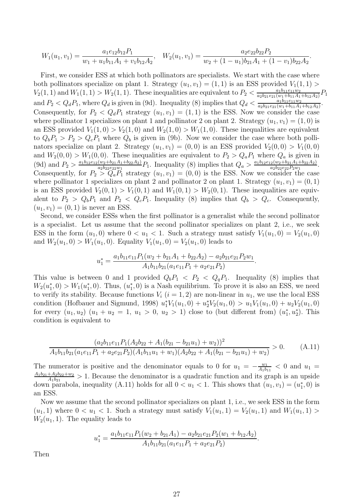$$
W_1(u_1, v_1) = \frac{a_1 e_{12} b_{12} P_1}{w_1 + u_1 b_{11} A_1 + v_1 b_{12} A_2}, \quad W_2(u_1, v_1) = \frac{a_2 e_{22} b_{22} P_2}{w_2 + (1 - u_1) b_{21} A_1 + (1 - v_1) b_{22} A_2}.
$$

First, we consider ESS at which both pollinators are specialists. We start with the case where both pollinators specialize on plant 1. Strategy  $(u_1, v_1) = (1, 1)$  is an ESS provided  $V_1(1, 1)$  $V_2(1,1)$  and  $W_1(1,1) > W_2(1,1)$ . These inequalities are equivalent to  $P_2 < \frac{a_1b_{11}e_{11}w_2}{a_2b_{21}e_{21}(w_1+b_{11}A_1)}$  $\frac{a_1b_{11}e_{11}w_2}{a_2b_{21}e_{21}(w_1+b_{11}A_1+b_{12}A_2)}P_1$ and  $P_2 < Q_d P_1$ , where  $Q_d$  is given in [\(9d\)](#page-6-6). Inequality [\(8\)](#page-6-3) implies that  $Q_d < \frac{a_1 b_{11} e_{11} w_2}{a_2 b_{21} e_{21} (w_1 + b_{11} A_1 + b_{12} A_2)}$  $\frac{a_1b_{11}e_{11}w_2}{(w_1 + b_{11}A_1 + b_{12}A_2)}$ . Consequently, for  $P_2 < Q_d P_1$  strategy  $(u_1, v_1) = (1, 1)$  is the ESS. Now we consider the case where pollinator 1 specializes on plant 1 and pollinator 2 on plant 2. Strategy  $(u_1, v_1) = (1, 0)$  is an ESS provided  $V_1(1,0) > V_2(1,0)$  and  $W_2(1,0) > W_1(1,0)$ . These inequalities are equivalent to  $Q_bP_1 > P_2 > Q_cP_1$  where  $Q_b$  is given in [\(9b\)](#page-6-7). Now we consider the case where both pollinators specialize on plant 2. Strategy  $(u_1, v_1) = (0, 0)$  is an ESS provided  $V_2(0, 0) > V_1(0, 0)$ and  $W_2(0,0) > W_1(0,0)$ . These inequalities are equivalent to  $P_2 > Q_a P_1$  where  $Q_a$  is given in [\(9d\)](#page-6-6) and  $P_2 > \frac{a_1b_12e_{12}(w_2+b_{21}A_1+b_{22}A_2)}{a_2b_2e_{22}w_1}$  $\frac{(w_2+b_{21}A_1+b_{22}A_2)}{a_2b_{22}e_{22}w_1}P_1$ . Inequality [\(8\)](#page-6-3) implies that  $Q_a > \frac{a_1b_1e_{12}(w_2+b_{21}A_1+b_{22}A_2)}{a_2b_{22}e_{22}P_2w_1}$  $\frac{2(w_2+0_{21}A_1+0_{22}A_2)}{a_2b_2e_{22}P_2w_1}.$ Consequently, for  $P_2 > Q_a P_1$  strategy  $(u_1, v_1) = (0, 0)$  is the ESS. Now we consider the case where pollinator 1 specializes on plant 2 and pollinator 2 on plant 1. Strategy  $(u_1, v_1) = (0, 1)$ is an ESS provided  $V_2(0,1) > V_1(0,1)$  and  $W_1(0,1) > W_2(0,1)$ . These inequalities are equivalent to  $P_2 > Q_b P_1$  and  $P_2 < Q_c P_1$ . Inequality [\(8\)](#page-6-3) implies that  $Q_b > Q_c$ . Consequently,  $(u_1, v_1) = (0, 1)$  is never an ESS.

Second, we consider ESSs when the first pollinator is a generalist while the second pollinator is a specialist. Let us assume that the second pollinator specializes on plant 2, i.e., we seek ESS in the form  $(u_1, 0)$  where  $0 < u_1 < 1$ . Such a strategy must satisfy  $V_1(u_1, 0) = V_2(u_1, 0)$ and  $W_2(u_1, 0) > W_1(u_1, 0)$ . Equality  $V_1(u_1, 0) = V_2(u_1, 0)$  leads to

$$
u_1^* = \frac{a_1b_{11}e_{11}P_1(w_2 + b_{21}A_1 + b_{22}A_2) - a_2b_{21}e_{21}P_2w_1}{A_1b_{11}b_{21}(a_1e_{11}P_1 + a_2e_{21}P_2)}.
$$

This value is between 0 and 1 provided  $Q_bP_1 < P_2 < Q_qP_1$ . Inequality [\(8\)](#page-6-3) implies that  $W_2(u_1^*$  $_1^*,0) > W_1(u_1^*)$  $_{1}^{*}$ , 0). Thus,  $(u_{1}^{*})$ 1 , 0) is a Nash equilibrium. To prove it is also an ESS, we need to verify its stability. Because functions  $V_i$   $(i = 1, 2)$  are non-linear in  $u_1$ , we use the local ESS condition [\(Hofbauer and Sigmund](#page-22-9), [1998\)](#page-22-9)  $u_1^*V_1(u_1, 0) + u_2^*V_2(u_1, 0) > u_1V_1(u_1, 0) + u_2V_2(u_1, 0)$ for every  $(u_1, u_2)$   $(u_1 + u_2 = 1, u_1 > 0, u_2 > 1)$  close to (but different from)  $(u_1^*$  $_{1}^{*}, u_{2}^{*}$ ). This condition is equivalent to

<span id="page-26-0"></span>
$$
\frac{(a_2b_{11}e_{11}P_1(A_2b_{22} + A_1(b_{21} - b_{21}u_1) + w_2))^2}{A_1b_{11}b_{21}(a_1e_{11}P_1 + a_2e_{21}P_2)(A_1b_{11}u_1 + w_1)(A_2b_{22} + A_1(b_{21} - b_{21}u_1) + w_2)} > 0.
$$
 (A.11)

The numerator is positive and the denominator equals to 0 for  $u_1 = -\frac{w_1}{A_1 b_1}$  $\frac{w_1}{A_1b_{11}}$  < 0 and  $u_1$  =  $A_1b_{21}+A_2b_{22}+w_2$  $\frac{+A_2b_{22}+w_2}{A_1b_{21}} > 1$ . Because the denominator is a quadratic function and its graph is an upside down parabola, inequality [\(A.11\)](#page-26-0) holds for all  $0 < u_1 < 1$ . This shows that  $(u_1, v_1) = (u_1^*$  $_{1}^{\ast},0)$  is an ESS.

Now we assume that the second pollinator specializes on plant 1, i.e., we seek ESS in the form  $(u_1, 1)$  where  $0 < u_1 < 1$ . Such a strategy must satisfy  $V_1(u_1, 1) = V_2(u_1, 1)$  and  $W_1(u_1, 1) >$  $W_2(u_1, 1)$ . The equality leads to

$$
u_1^* = \frac{a_1b_{11}e_{11}P_1(w_2 + b_{21}A_1) - a_2b_{21}e_{21}P_2(w_1 + b_{12}A_2)}{A_1b_{11}b_{21}(a_1e_{11}P_1 + a_2e_{21}P_2)}.
$$

Then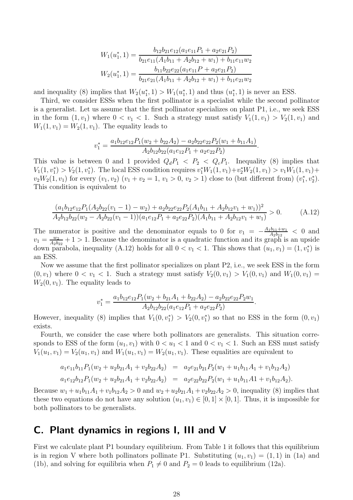$$
W_1(u_1^*, 1) = \frac{b_{12}b_{21}e_{12}(a_1e_{11}P_1 + a_2e_{21}P_2)}{b_{21}e_{11}(A_1b_{11} + A_2b_{12} + w_1) + b_{11}e_{11}w_2}
$$
  

$$
W_2(u_1^*, 1) = \frac{b_{11}b_{22}e_{22}(a_1e_{11}P + a_2e_{21}P_2)}{b_{21}e_{21}(A_1b_{11} + A_2b_{12} + w_1) + b_{11}e_{21}w_2}
$$

and inequality [\(8\)](#page-6-3) implies that  $W_2(u_1^*)$  $_{1}^{*},1) > W_{1}(u_{1}^{*})$  $\binom{*}{1}$ , 1) and thus  $(u_1^*)$  $_{1}^{*}$ , 1) is never an ESS.

Third, we consider ESSs when the first pollinator is a specialist while the second pollinator is a generalist. Let us assume that the first pollinator specializes on plant P1, i.e., we seek ESS in the form  $(1, v_1)$  where  $0 < v_1 < 1$ . Such a strategy must satisfy  $V_1(1, v_1) > V_2(1, v_1)$  and  $W_1(1, v_1) = W_2(1, v_1)$ . The equality leads to

$$
v_1^* = \frac{a_1b_{12}e_{12}P_1(w_2 + b_{22}A_2) - a_2b_{22}e_{22}P_2(w_1 + b_{11}A_1)}{A_2b_{12}b_{22}(a_1e_{12}P_1 + a_2e_{22}P_2)}.
$$

This value is between 0 and 1 provided  $Q_dP_1 < P_2 < Q_cP_1$ . Inequality [\(8\)](#page-6-3) implies that  $V_1(1, v_1^*) > V_2(1, v_1^*)$ . The local ESS condition requires  $v_1^* W_1(1, v_1) + v_2^* W_2(1, v_1) > v_1 W_1(1, v_1) +$  $v_2W_2(1, v_1)$  for every  $(v_1, v_2)$   $(v_1 + v_2 = 1, v_1 > 0, v_2 > 1)$  close to (but different from)  $(v_1^*$  $_{1}^{*},v_{2}^{*}).$ This condition is equivalent to

<span id="page-27-1"></span>
$$
\frac{(a_1b_{12}e_{12}P_1(A_2b_{22}(v_1-1)-w_2)+a_2b_{22}e_{22}P_2(A_1b_{11}+A_2b_{12}v_1+w_1))^2}{A_2b_{12}b_{22}(w_2-A_2b_{22}(v_1-1))(a_1e_{12}P_1+a_2e_{22}P_2)(A_1b_{11}+A_2b_{12}v_1+w_1)}>0.
$$
\n(A.12)

The numerator is positive and the denominator equals to 0 for  $v_1 = -\frac{A_1b_{11}+w_1}{A_2b_{12}}$  $\frac{16_{11}+w_1}{A_2b_{12}} < 0$  and  $v_1 = \frac{w_2}{A_2 b_1}$  $\frac{w_2}{A_2b_{22}}+1>1$ . Because the denominator is a quadratic function and its graph is an upside down parabola, inequality [\(A.12\)](#page-27-1) holds for all  $0 < v_1 < 1$ . This shows that  $(u_1, v_1) = (1, v_1^*)$  is an ESS.

Now we assume that the first pollinator specializes on plant P2, i.e., we seek ESS in the form  $(0, v_1)$  where  $0 < v_1 < 1$ . Such a strategy must satisfy  $V_2(0, v_1) > V_1(0, v_1)$  and  $W_1(0, v_1) =$  $W_2(0, v_1)$ . The equality leads to

$$
v_1^* = \frac{a_1b_{12}e_{12}P_1(w_2 + b_{21}A_1 + b_{22}A_2) - a_2b_{22}e_{22}P_2w_1}{A_2b_{12}b_{22}(a_1e_{12}P_1 + a_2e_{22}P_2)}.
$$

However, inequality [\(8\)](#page-6-3) implies that  $V_1(0, v_1^*) > V_2(0, v_1^*)$  so that no ESS in the form  $(0, v_1)$ exists.

Fourth, we consider the case where both pollinators are generalists. This situation corresponds to ESS of the form  $(u_1, v_1)$  with  $0 < u_1 < 1$  and  $0 < v_1 < 1$ . Such an ESS must satisfy  $V_1(u_1, v_1) = V_2(u_1, v_1)$  and  $W_1(u_1, v_1) = W_2(u_1, v_1)$ . These equalities are equivalent to

$$
a_1e_{11}b_{11}P_1(w_2+u_2b_{21}A_1+v_2b_{22}A_2) = a_2e_{21}b_{21}P_2(w_1+u_1b_{11}A_1+v_1b_{12}A_2)
$$
  
\n
$$
a_1e_{12}b_{12}P_1(w_2+u_2b_{21}A_1+v_2b_{22}A_2) = a_2e_{22}b_{22}P_2(w_1+u_1b_{11}A_1+v_1b_{12}A_2).
$$

Because  $w_1 + u_1b_{11}A_1 + v_1b_{12}A_2 > 0$  and  $w_2 + u_2b_{21}A_1 + v_2b_{22}A_2 > 0$ , inequality [\(8\)](#page-6-3) implies that these two equations do not have any solution  $(u_1, v_1) \in [0, 1] \times [0, 1]$ . Thus, it is impossible for both pollinators to be generalists.

### <span id="page-27-0"></span>C. Plant dynamics in regions I, III and V

First we calculate plant P1 boundary equilibrium. From Table [1](#page-7-1) it follows that this equilibrium is in region V where both pollinators pollinate P1. Substituting  $(u_1, v_1) = (1, 1)$  in [\(1a\)](#page-2-1) and [\(1b\)](#page-2-2), and solving for equilibria when  $P_1 \neq 0$  and  $P_2 = 0$  leads to equilibrium [\(12a\)](#page-8-0).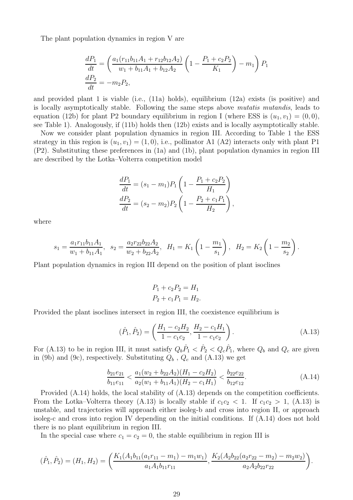The plant population dynamics in region V are

$$
\frac{dP_1}{dt} = \left(\frac{a_1(r_{11}b_{11}A_1 + r_{12}b_{12}A_2)}{w_1 + b_{11}A_1 + b_{12}A_2}\left(1 - \frac{P_1 + c_2P_2}{K_1}\right) - m_1\right)P_1
$$
  

$$
\frac{dP_2}{dt} = -m_2P_2,
$$

and provided plant 1 is viable (i.e., [\(11a\)](#page-7-2) holds), equilibrium [\(12a\)](#page-8-0) exists (is positive) and is locally asymptotically stable. Following the same steps above *mutatis mutandis*, leads to equation [\(12b\)](#page-8-1) for plant P2 boundary equilibrium in region I (where ESS is  $(u_1, v_1) = (0, 0)$ , see Table [1\)](#page-7-1). Analogously, if [\(11b\)](#page-7-3) holds then [\(12b\)](#page-8-1) exists and is locally asymptotically stable.

Now we consider plant population dynamics in region III. According to Table [1](#page-7-1) the ESS strategy in this region is  $(u_1, v_1) = (1, 0)$ , i.e., pollinator A1 (A2) interacts only with plant P1 (P2). Substituting these preferences in [\(1a\)](#page-2-1) and [\(1b\)](#page-2-2), plant population dynamics in region III are described by the Lotka–Volterra competition model

$$
\frac{dP_1}{dt} = (s_1 - m_1)P_1 \left( 1 - \frac{P_1 + c_2 P_2}{H_1} \right)
$$

$$
\frac{dP_2}{dt} = (s_2 - m_2)P_2 \left( 1 - \frac{P_2 + c_1 P_1}{H_2} \right),
$$

where

$$
s_1 = \frac{a_1 r_{11} b_{11} A_1}{w_1 + b_{11} A_1}, \quad s_2 = \frac{a_2 r_{22} b_{22} A_2}{w_2 + b_{22} A_2}, \quad H_1 = K_1 \left( 1 - \frac{m_1}{s_1} \right), \quad H_2 = K_2 \left( 1 - \frac{m_2}{s_2} \right).
$$

Plant population dynamics in region III depend on the position of plant isoclines

$$
P_1 + c_2 P_2 = H_1
$$
  

$$
P_2 + c_1 P_1 = H_2.
$$

Provided the plant isoclines intersect in region III, the coexistence equilibrium is

<span id="page-28-0"></span>
$$
(\hat{P}_1, \hat{P}_2) = \left(\frac{H_1 - c_2 H_2}{1 - c_1 c_2}, \frac{H_2 - c_1 H_1}{1 - c_1 c_2}\right).
$$
 (A.13)

For [\(A.13\)](#page-28-0) to be in region III, it must satisfy  $Q_b \hat{P}_1 < \hat{P}_2 < Q_c \hat{P}_1$ , where  $Q_b$  and  $Q_c$  are given in [\(9b\)](#page-6-7) and [\(9c\)](#page-6-8), respectively. Substituting  $Q_b$ ,  $Q_c$  and [\(A.13\)](#page-28-0) we get

<span id="page-28-1"></span>
$$
\frac{b_{21}e_{21}}{b_{11}e_{11}} < \frac{a_1(w_2 + b_{22}A_2)(H_1 - c_2H_2)}{a_2(w_1 + b_{11}A_1)(H_2 - c_1H_1)} < \frac{b_{22}e_{22}}{b_{12}e_{12}}.\tag{A.14}
$$

Provided [\(A.14\)](#page-28-1) holds, the local stability of [\(A.13\)](#page-28-0) depends on the competition coefficients. From the Lotka–Volterra theory [\(A.13\)](#page-28-0) is locally stable if  $c_1c_2 < 1$ . If  $c_1c_2 > 1$ , (A.13) is unstable, and trajectories will approach either isoleg-b and cross into region II, or approach isoleg-c and cross into region IV depending on the initial conditions. If [\(A.14\)](#page-28-1) does not hold there is no plant equilibrium in region III.

In the special case where  $c_1 = c_2 = 0$ , the stable equilibrium in region III is

$$
(\hat{P}_1, \hat{P}_2) = (H_1, H_2) = \left(\frac{K_1(A_1b_{11}(a_1r_{11} - m_1) - m_1w_1)}{a_1A_1b_{11}r_{11}}, \frac{K_2(A_2b_{22}(a_2r_{22} - m_2) - m_2w_2)}{a_2A_2b_{22}r_{22}}\right).
$$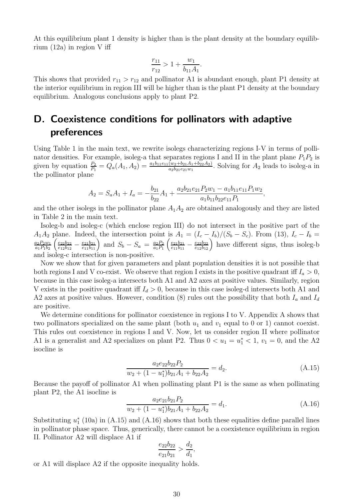At this equilibrium plant 1 density is higher than is the plant density at the boundary equilibrium [\(12a\)](#page-8-0) in region V iff

$$
\frac{r_{11}}{r_{12}} > 1 + \frac{w_1}{b_{11}A_1}.
$$

This shows that provided  $r_{11} > r_{12}$  and pollinator A1 is abundant enough, plant P1 density at the interior equilibrium in region III will be higher than is the plant P1 density at the boundary equilibrium. Analogous conclusions apply to plant P2.

# <span id="page-29-0"></span>D. Coexistence conditions for pollinators with adaptive preferences

Using Table [1](#page-7-1) in the main text, we rewrite isolegs characterizing regions I-V in terms of pollinator densities. For example, isoleg-a that separates regions I and II in the plant plane  $P_1P_2$  is given by equation  $\frac{P_2}{P_1} = Q_a(A_1, A_2) = \frac{a_1b_{11}e_{11}(w_2 + b_{21}A_1 + b_{22}A_2)}{a_2b_{21}e_{21}w_1}$ . Solving for  $A_2$  leads to isoleg-a in the pollinator plane

$$
A_2 = S_a A_1 + I_a = -\frac{b_{21}}{b_{22}} A_1 + \frac{a_2 b_{21} e_{21} P_2 w_1 - a_1 b_{11} e_{11} P_1 w_2}{a_1 b_{11} b_{22} e_{11} P_1},
$$

and the other isolegs in the pollinator plane  $A_1A_2$  are obtained analogously and they are listed in Table [2](#page-15-2) in the main text.

Isoleg-b and isoleg-c (which enclose region III) do not intersect in the positive part of the  $A_1A_2$  plane. Indeed, the intersection point is  $A_1 = (I_c - I_b)/(S_b - S_c)$ . From [\(13\)](#page-15-1),  $I_c - I_b =$  $a_2P_2w_1$  $\frac{a_2P_2w_1}{a_1P_1b_2} \left( \frac{e_{22}b_{22}}{e_{12}b_{12}} \right)$  $\frac{e_{22}b_{22}}{e_{12}b_{12}} - \frac{e_{21}b_{21}}{e_{11}b_{11}}$  and  $S_b - S_a = \frac{a_2P_2}{a_1P_1}$  $\frac{a_2P_2}{a_1P_1} \left(\frac{e_{21}b_{21}}{e_{11}b_{11}}\right.$  $\frac{e_{21}b_{21}}{e_{11}b_{11}} - \frac{e_{22}b_{22}}{e_{12}b_{12}}$  have different signs, thus isoleg-b and isoleg-c intersection is non-positive.

Now we show that for given parameters and plant population densities it is not possible that both regions I and V co-exist. We observe that region I exists in the positive quadrant iff  $I_a > 0$ , because in this case isoleg-a intersects both A1 and A2 axes at positive values. Similarly, region V exists in the positive quadrant iff  $I_d > 0$ , because in this case isoleg-d intersects both A1 and A2 axes at positive values. However, condition [\(8\)](#page-6-3) rules out the possibility that both  $I_a$  and  $I_d$ are positive.

We determine conditions for pollinator coexistence in regions I to V. [A](#page-24-0)ppendix A shows that two pollinators specialized on the same plant (both  $u_1$  and  $v_1$  equal to 0 or 1) cannot coexist. This rules out coexistence in regions I and V. Now, let us consider region II where pollinator A1 is a generalist and A2 specializes on plant P2. Thus  $0 < u_1 = u_1^* < 1$ ,  $v_1 = 0$ , and the A2 isocline is

<span id="page-29-1"></span>
$$
\frac{a_2 e_{22} b_{22} P_2}{w_2 + (1 - u_1^*) b_{21} A_1 + b_{22} A_2} = d_2.
$$
\n(A.15)

Because the payoff of pollinator A1 when pollinating plant P1 is the same as when pollinating plant P2, the A1 isocline is

<span id="page-29-2"></span>
$$
\frac{a_2 e_{21} b_{21} P_2}{w_2 + (1 - u_1^*) b_{21} A_1 + b_{22} A_2} = d_1.
$$
\n(A.16)

Substituting  $u_1^*$  $_{1}^{*}$  [\(10a\)](#page-7-4) in [\(A.15\)](#page-29-1) and [\(A.16\)](#page-29-2) shows that both these equalities define parallel lines in pollinator phase space. Thus, generically, there cannot be a coexistence equilibrium in region II. Pollinator A2 will displace A1 if

$$
\frac{e_{22}b_{22}}{e_{21}b_{21}} > \frac{d_2}{d_1},
$$

or A1 will displace A2 if the opposite inequality holds.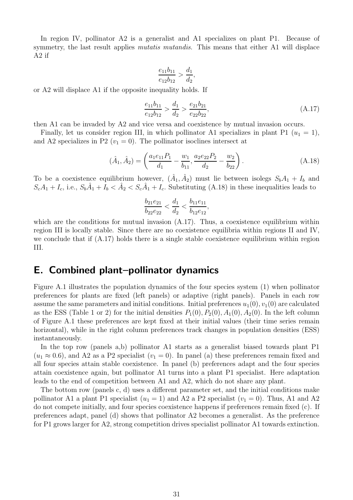In region IV, pollinator A2 is a generalist and A1 specializes on plant P1. Because of symmetry, the last result applies *mutatis mutandis*. This means that either A1 will displace A2 if

$$
\frac{e_{11}b_{11}}{e_{12}b_{12}} > \frac{d_1}{d_2},
$$

or A2 will displace A1 if the opposite inequality holds. If

<span id="page-30-2"></span>
$$
\frac{e_{11}b_{11}}{e_{12}b_{12}} > \frac{d_1}{d_2} > \frac{e_{21}b_{21}}{e_{22}b_{22}},
$$
\n(A.17)

then A1 can be invaded by A2 and vice versa and coexistence by mutual invasion occurs.

Finally, let us consider region III, in which pollinator A1 specializes in plant P1  $(u_1 = 1)$ , and A2 specializes in P2 ( $v_1 = 0$ ). The pollinator isoclines intersect at

<span id="page-30-1"></span>
$$
(\hat{A}_1, \hat{A}_2) = \left(\frac{a_1 e_{11} P_1}{d_1} - \frac{w_1}{b_{11}}, \frac{a_2 e_{22} P_2}{d_2} - \frac{w_2}{b_{22}}\right). \tag{A.18}
$$

To be a coexistence equilibrium however,  $(\hat{A}_1, \hat{A}_2)$  must lie between isolegs  $S_b A_1 + I_b$  and  $S_c A_1 + I_c$ , i.e.,  $S_b \hat{A}_1 + I_b < \hat{A}_2 < S_c \hat{A}_1 + I_c$ . Substituting [\(A.18\)](#page-30-1) in these inequalities leads to

$$
\frac{b_{21}e_{21}}{b_{22}e_{22}} < \frac{d_1}{d_2} < \frac{b_{11}e_{11}}{b_{12}e_{12}},
$$

which are the conditions for mutual invasion  $(A.17)$ . Thus, a coexistence equilibrium within region III is locally stable. Since there are no coexistence equilibria within regions II and IV, we conclude that if  $(A.17)$  holds there is a single stable coexistence equilibrium within region III.

### <span id="page-30-0"></span>E. Combined plant–pollinator dynamics

Figure [A.1](#page-31-0) illustrates the population dynamics of the four species system [\(1\)](#page-2-5) when pollinator preferences for plants are fixed (left panels) or adaptive (right panels). Panels in each row assume the same parameters and initial conditions. Initial preferences  $u_1(0), v_1(0)$  are calculated as the ESS (Table [1](#page-7-1) or [2\)](#page-15-2) for the initial densities  $P_1(0), P_2(0), A_1(0), A_2(0)$ . In the left column of Figure [A.1](#page-31-0) these preferences are kept fixed at their initial values (their time series remain horizontal), while in the right column preferences track changes in population densities (ESS) instantaneously.

In the top row (panels a,b) pollinator A1 starts as a generalist biased towards plant P1  $(u_1 \approx 0.6)$ , and A2 as a P2 specialist  $(v_1 = 0)$ . In panel (a) these preferences remain fixed and all four species attain stable coexistence. In panel (b) preferences adapt and the four species attain coexistence again, but pollinator A1 turns into a plant P1 specialist. Here adaptation leads to the end of competition between A1 and A2, which do not share any plant.

The bottom row (panels c, d) uses a different parameter set, and the initial conditions make pollinator A1 a plant P1 specialist  $(u_1 = 1)$  and A2 a P2 specialist  $(v_1 = 0)$ . Thus, A1 and A2 do not compete initially, and four species coexistence happens if preferences remain fixed (c). If preferences adapt, panel (d) shows that pollinator A2 becomes a generalist. As the preference for P1 grows larger for A2, strong competition drives specialist pollinator A1 towards extinction.